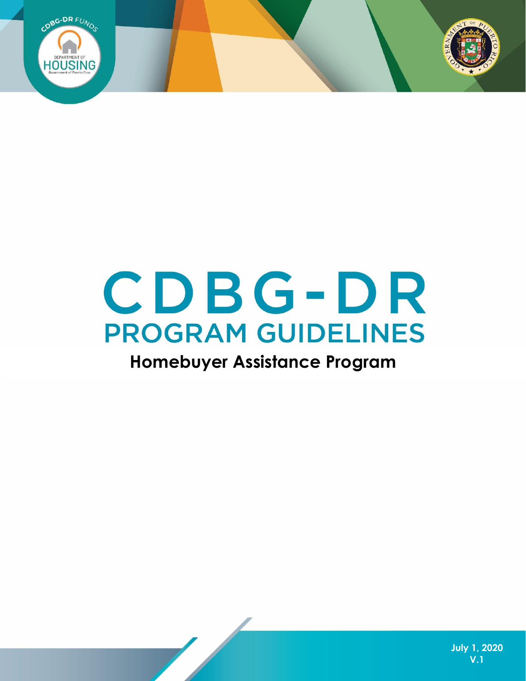



# CDBG-DR **PROGRAM GUIDELINES**

# **Homebuyer Assistance Program**

**July 1, 2020 V.1**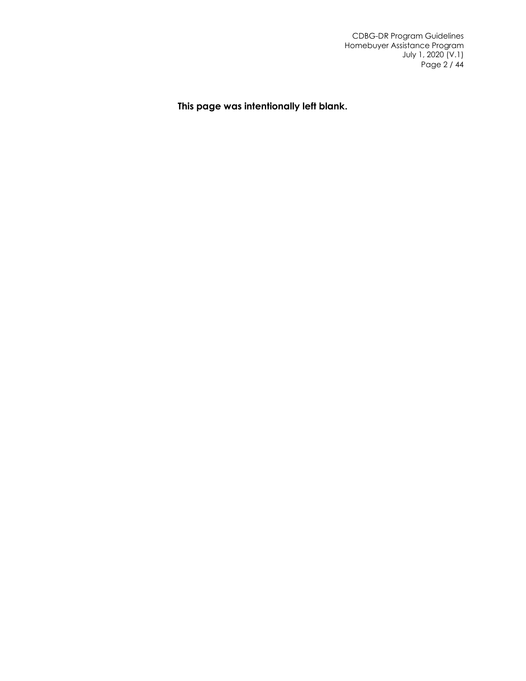CDBG-DR Program Guidelines Homebuyer Assistance Program July 1, 2020 (V.1) Page 2 / 44

**This page was intentionally left blank.**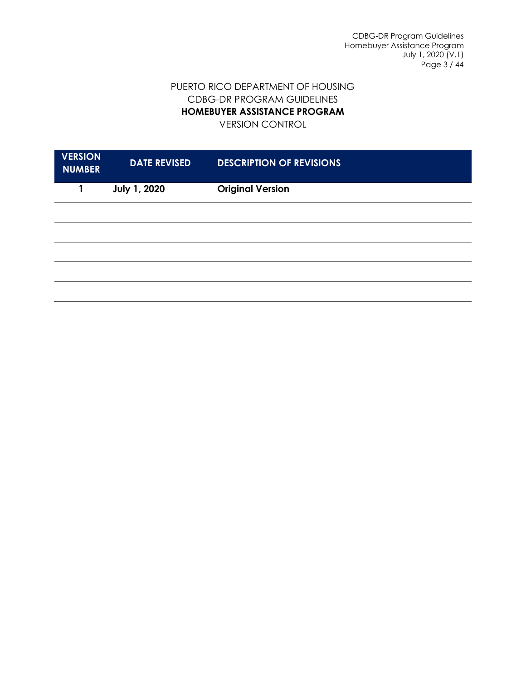CDBG-DR Program Guidelines Homebuyer Assistance Program July 1, 2020 (V.1) Page 3 / 44

#### PUERTO RICO DEPARTMENT OF HOUSING CDBG-DR PROGRAM GUIDELINES **HOMEBUYER ASSISTANCE PROGRAM**

VERSION CONTROL

| <b>VERSION</b><br><b>NUMBER</b> | <b>DATE REVISED</b> | <b>DESCRIPTION OF REVISIONS</b> |
|---------------------------------|---------------------|---------------------------------|
|                                 | <b>July 1, 2020</b> | <b>Original Version</b>         |
|                                 |                     |                                 |
|                                 |                     |                                 |
|                                 |                     |                                 |
|                                 |                     |                                 |
|                                 |                     |                                 |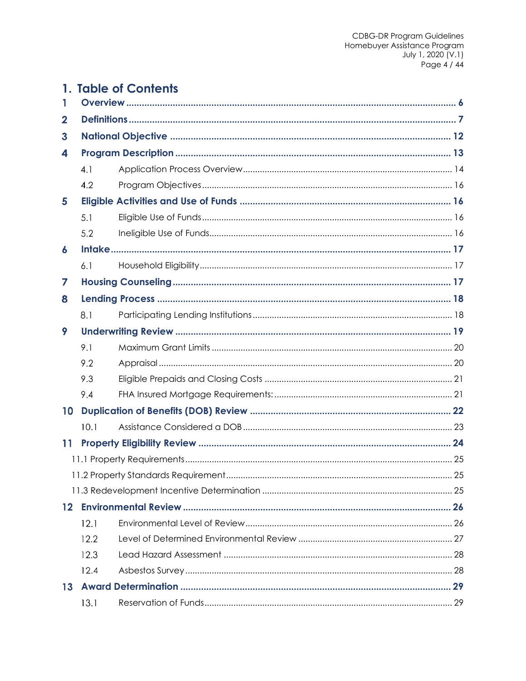|                  |      | 1. Table of Contents |  |
|------------------|------|----------------------|--|
|                  |      |                      |  |
| 2                |      |                      |  |
| 3                |      |                      |  |
| 4                |      |                      |  |
|                  | 4.1  |                      |  |
|                  | 4.2  |                      |  |
| 5                |      |                      |  |
|                  | 5.1  |                      |  |
|                  | 5.2  |                      |  |
| $\boldsymbol{6}$ |      |                      |  |
|                  | 6.1  |                      |  |
| 7                |      |                      |  |
| 8                |      |                      |  |
|                  | 8.1  |                      |  |
| 9                |      |                      |  |
|                  | 9.1  |                      |  |
|                  | 9.2  |                      |  |
|                  | 9.3  |                      |  |
|                  | 9.4  |                      |  |
| 10               |      |                      |  |
|                  | 10.1 |                      |  |
| 11               |      |                      |  |
|                  |      |                      |  |
|                  |      |                      |  |
|                  |      |                      |  |
| 12               |      |                      |  |
|                  | 12.1 |                      |  |
|                  | 12.2 |                      |  |
|                  | 12.3 |                      |  |
|                  | 12.4 |                      |  |
| 13               |      |                      |  |
|                  | 13.1 |                      |  |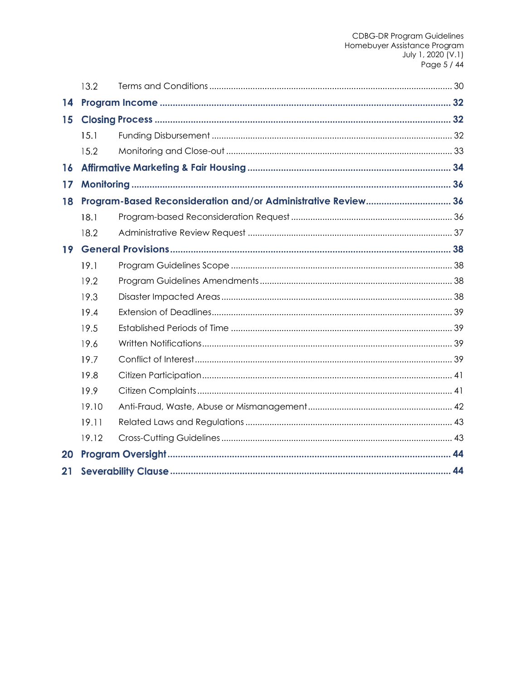|    | 13.2  |  |
|----|-------|--|
| 14 |       |  |
| 15 |       |  |
|    | 15.1  |  |
|    | 15.2  |  |
| 16 |       |  |
| 17 |       |  |
| 18 |       |  |
|    | 18.1  |  |
|    | 18.2  |  |
| 19 |       |  |
|    | 19.1  |  |
|    | 19.2  |  |
|    | 19.3  |  |
|    | 19.4  |  |
|    | 19.5  |  |
|    | 19.6  |  |
|    | 19.7  |  |
|    | 19.8  |  |
|    | 19.9  |  |
|    | 19.10 |  |
|    | 19.11 |  |
|    | 19.12 |  |
| 20 |       |  |
| 21 |       |  |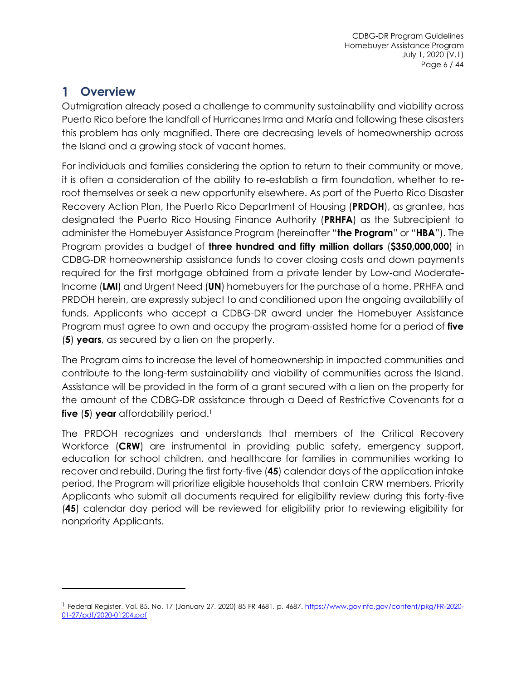#### <span id="page-5-0"></span>**Overview**  $\mathbf{1}$

Outmigration already posed a challenge to community sustainability and viability across Puerto Rico before the landfall of Hurricanes Irma and María and following these disasters this problem has only magnified. There are decreasing levels of homeownership across the Island and a growing stock of vacant homes.

For individuals and families considering the option to return to their community or move, it is often a consideration of the ability to re-establish a firm foundation, whether to reroot themselves or seek a new opportunity elsewhere. As part of the Puerto Rico Disaster Recovery Action Plan, the Puerto Rico Department of Housing (**PRDOH**), as grantee, has designated the Puerto Rico Housing Finance Authority (**PRHFA**) as the Subrecipient to administer the Homebuyer Assistance Program (hereinafter "**the Program**" or "**HBA**"). The Program provides a budget of **three hundred and fifty million dollars** (**\$350,000,000**) in CDBG-DR homeownership assistance funds to cover closing costs and down payments required for the first mortgage obtained from a private lender by Low-and Moderate-Income (**LMI**) and Urgent Need (**UN**) homebuyers for the purchase of a home. PRHFA and PRDOH herein, are expressly subject to and conditioned upon the ongoing availability of funds. Applicants who accept a CDBG-DR award under the Homebuyer Assistance Program must agree to own and occupy the program-assisted home for a period of **five**  (**5**) **years**, as secured by a lien on the property.

The Program aims to increase the level of homeownership in impacted communities and contribute to the long-term sustainability and viability of communities across the Island. Assistance will be provided in the form of a grant secured with a lien on the property for the amount of the CDBG-DR assistance through a Deed of Restrictive Covenants for a **five** (**5**) **year** affordability period. 1

The PRDOH recognizes and understands that members of the Critical Recovery Workforce (**CRW**) are instrumental in providing public safety, emergency support, education for school children, and healthcare for families in communities working to recover and rebuild. During the first forty-five (**45**) calendar days of the application intake period, the Program will prioritize eligible households that contain CRW members. Priority Applicants who submit all documents required for eligibility review during this forty-five (**45**) calendar day period will be reviewed for eligibility prior to reviewing eligibility for nonpriority Applicants.

<sup>&</sup>lt;sup>1</sup> Federal Register, Vol. 85, No. 17 (January 27, 2020) 85 FR 4681, p. 4687. [https://www.govinfo.gov/content/pkg/FR-2020-](https://www.govinfo.gov/content/pkg/FR-2020-01-27/pdf/2020-01204.pdf) [01-27/pdf/2020-01204.pdf](https://www.govinfo.gov/content/pkg/FR-2020-01-27/pdf/2020-01204.pdf)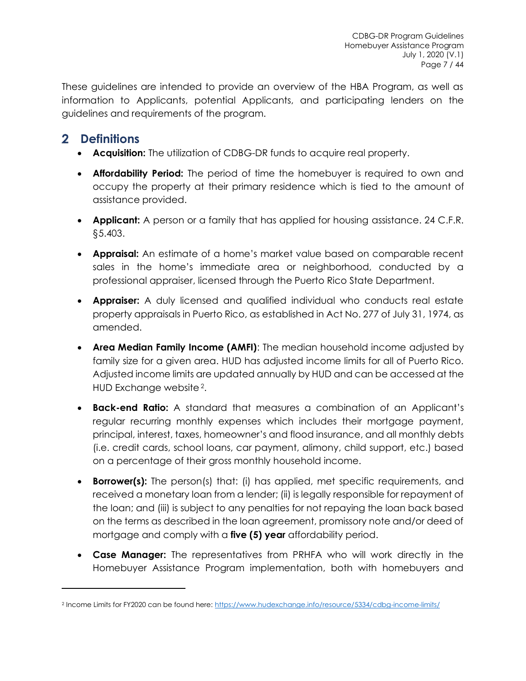These guidelines are intended to provide an overview of the HBA Program, as well as information to Applicants, potential Applicants, and participating lenders on the guidelines and requirements of the program.

# <span id="page-6-0"></span>**Definitions**

- **Acquisition:** The utilization of CDBG-DR funds to acquire real property.
- **Affordability Period:** The period of time the homebuyer is required to own and occupy the property at their primary residence which is tied to the amount of assistance provided.
- **Applicant:** A person or a family that has applied for housing assistance. 24 C.F.R. §5.403.
- **Appraisal:** An estimate of a home's market value based on comparable recent sales in the home's immediate area or neighborhood, conducted by a professional appraiser, licensed through the Puerto Rico State Department.
- **Appraiser:** A duly licensed and qualified individual who conducts real estate property appraisals in Puerto Rico, as established in Act No. 277 of July 31, 1974, as amended.
- **Area Median Family Income (AMFI)**: The median household income adjusted by family size for a given area. HUD has adjusted income limits for all of Puerto Rico. Adjusted income limits are updated annually by HUD and can be accessed at the HUD Exchange website <sup>2</sup> .
- **Back-end Ratio:** A standard that measures a combination of an Applicant's regular recurring monthly expenses which includes their mortgage payment, principal, interest, taxes, homeowner's and flood insurance, and all monthly debts (i.e. credit cards, school loans, car payment, alimony, child support, etc.) based on a percentage of their gross monthly household income.
- **Borrower(s):** The person(s) that: (i) has applied, met specific requirements, and received a monetary loan from a lender; (ii) is legally responsible for repayment of the loan; and (iii) is subject to any penalties for not repaying the loan back based on the terms as described in the loan agreement, promissory note and/or deed of mortgage and comply with a **five (5) year** affordability period.
- **Case Manager:** The representatives from PRHFA who will work directly in the Homebuyer Assistance Program implementation, both with homebuyers and

<sup>2</sup> Income Limits for FY2020 can be found here:<https://www.hudexchange.info/resource/5334/cdbg-income-limits/>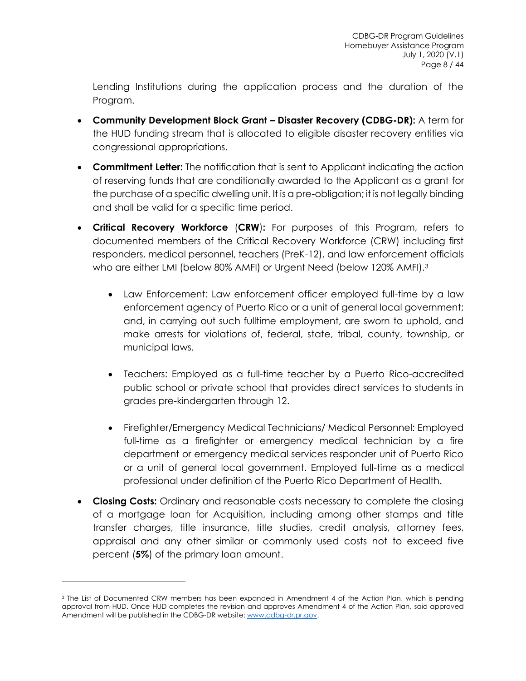Lending Institutions during the application process and the duration of the Program.

- **Community Development Block Grant – Disaster Recovery (CDBG-DR):** A term for the HUD funding stream that is allocated to eligible disaster recovery entities via congressional appropriations.
- **Commitment Letter:** The notification that is sent to Applicant indicating the action of reserving funds that are conditionally awarded to the Applicant as a grant for the purchase of a specific dwelling unit. It is a pre-obligation; it is not legally binding and shall be valid for a specific time period.
- **Critical Recovery Workforce** (**CRW**)**:** For purposes of this Program, refers to documented members of the Critical Recovery Workforce (CRW) including first responders, medical personnel, teachers (PreK-12), and law enforcement officials who are either LMI (below 80% AMFI) or Urgent Need (below 120% AMFI).<sup>3</sup>
	- Law Enforcement: Law enforcement officer employed full-time by a law enforcement agency of Puerto Rico or a unit of general local government; and, in carrying out such fulltime employment, are sworn to uphold, and make arrests for violations of, federal, state, tribal, county, township, or municipal laws.
	- Teachers: Employed as a full-time teacher by a Puerto Rico-accredited public school or private school that provides direct services to students in grades pre-kindergarten through 12.
	- Firefighter/Emergency Medical Technicians/ Medical Personnel: Employed full-time as a firefighter or emergency medical technician by a fire department or emergency medical services responder unit of Puerto Rico or a unit of general local government. Employed full-time as a medical professional under definition of the Puerto Rico Department of Health.
- **Closing Costs:** Ordinary and reasonable costs necessary to complete the closing of a mortgage loan for Acquisition, including among other stamps and title transfer charges, title insurance, title studies, credit analysis, attorney fees, appraisal and any other similar or commonly used costs not to exceed five percent (**5%**) of the primary loan amount.

<sup>3</sup> The List of Documented CRW members has been expanded in Amendment 4 of the Action Plan, which is pending approval from HUD. Once HUD completes the revision and approves Amendment 4 of the Action Plan, said approved Amendment will be published in the CDBG-DR website[: www.cdbg-dr.pr.gov.](http://www.cdbg-dr.pr.gov/)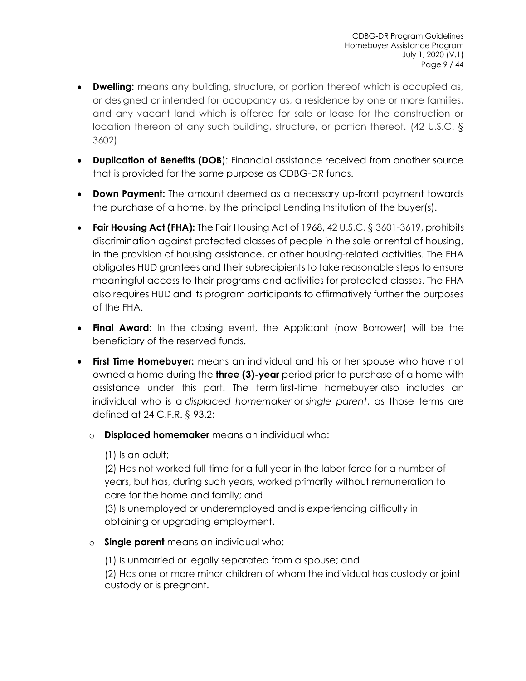- **Dwelling:** means any building, structure, or portion thereof which is occupied as, or designed or intended for occupancy as, a residence by one or more families, and any vacant land which is offered for sale or lease for the construction or location thereon of any such building, structure, or portion thereof. (42 U.S.C. § 3602)
- **Duplication of Benefits (DOB**): Financial assistance received from another source that is provided for the same purpose as CDBG-DR funds.
- **Down Payment:** The amount deemed as a necessary up-front payment towards the purchase of a home, by the principal Lending Institution of the buyer(s).
- **Fair Housing Act (FHA):** The Fair Housing Act of 1968, 42 U.S.C. § 3601-3619, prohibits discrimination against protected classes of people in the sale or rental of housing, in the provision of housing assistance, or other housing-related activities. The FHA obligates HUD grantees and their subrecipients to take reasonable steps to ensure meaningful access to their programs and activities for protected classes. The FHA also requires HUD and its program participants to affirmatively further the purposes of the FHA.
- **Final Award:** In the closing event, the Applicant (now Borrower) will be the beneficiary of the reserved funds.
- **First Time Homebuyer:** means an individual and his or her spouse who have not owned a home during the **three (3)-year** period prior to purchase of a home with assistance under this part. The term first-time homebuyer also includes an individual who is a *displaced homemaker* or *single parent*, as those terms are defined at 24 C.F.R. § 93.2:
	- o **Displaced homemaker** means an individual who:

## (1) Is an adult;

(2) Has not worked full-time for a full year in the labor force for a number of years, but has, during such years, worked primarily without remuneration to care for the home and family; and

(3) Is unemployed or underemployed and is experiencing difficulty in obtaining or upgrading employment.

o **Single parent** means an individual who:

(1) Is unmarried or legally separated from a spouse; and (2) Has one or more minor children of whom the individual has custody or joint custody or is pregnant.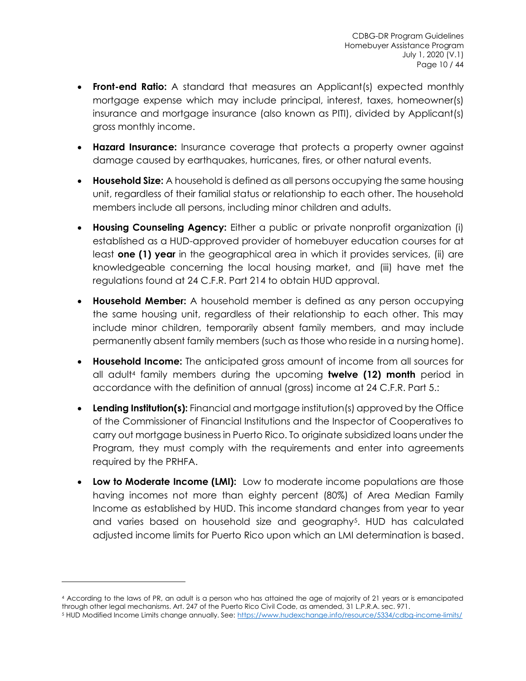- **Front-end Ratio:** A standard that measures an Applicant(s) expected monthly mortgage expense which may include principal, interest, taxes, homeowner(s) insurance and mortgage insurance (also known as PITI), divided by Applicant(s) gross monthly income.
- **Hazard Insurance:** Insurance coverage that protects a property owner against damage caused by earthquakes, hurricanes, fires, or other natural events.
- **Household Size:** A household is defined as all persons occupying the same housing unit, regardless of their familial status or relationship to each other. The household members include all persons, including minor children and adults.
- **Housing Counseling Agency:** Either a public or private nonprofit organization (i) established as a HUD-approved provider of homebuyer education courses for at least **one (1) year** in the geographical area in which it provides services, (ii) are knowledgeable concerning the local housing market, and (iii) have met the regulations found at 24 C.F.R. Part 214 to obtain HUD approval.
- **Household Member:** A household member is defined as any person occupying the same housing unit, regardless of their relationship to each other. This may include minor children, temporarily absent family members, and may include permanently absent family members (such as those who reside in a nursing home).
- **Household Income:** The anticipated gross amount of income from all sources for all adult<sup>4</sup> family members during the upcoming **twelve (12) month** period in accordance with the definition of annual (gross) income at 24 C.F.R. Part 5.:
- **Lending Institution(s):** Financial and mortgage institution(s) approved by the Office of the Commissioner of Financial Institutions and the Inspector of Cooperatives to carry out mortgage business in Puerto Rico. To originate subsidized loans under the Program, they must comply with the requirements and enter into agreements required by the PRHFA.
- **Low to Moderate Income (LMI):** Low to moderate income populations are those having incomes not more than eighty percent (80%) of Area Median Family Income as established by HUD. This income standard changes from year to year and varies based on household size and geography<sup>5</sup>. HUD has calculated adjusted income limits for Puerto Rico upon which an LMI determination is based.

<sup>4</sup> According to the laws of PR, an adult is a person who has attained the age of majority of 21 years or is emancipated through other legal mechanisms. Art. 247 of the Puerto Rico Civil Code, as amended, 31 L.P.R.A. sec. 971.

<sup>5</sup> HUD Modified Income Limits change annually. See:<https://www.hudexchange.info/resource/5334/cdbg-income-limits/>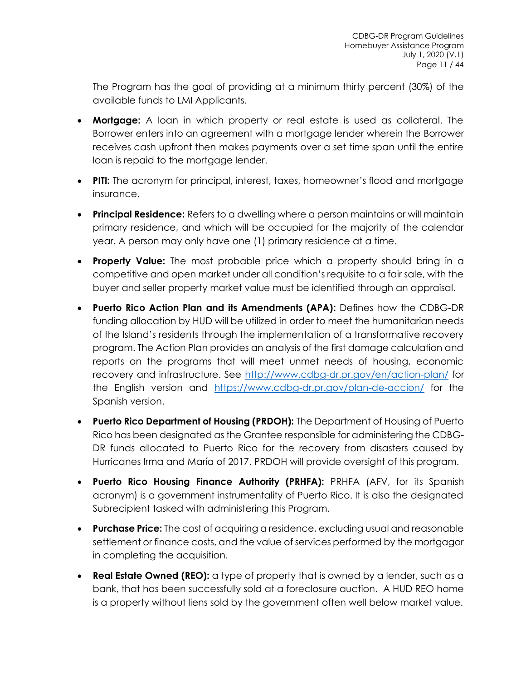The Program has the goal of providing at a minimum thirty percent (30%) of the available funds to LMI Applicants.

- **Mortgage:** A loan in which property or real estate is used as collateral. The Borrower enters into an agreement with a mortgage lender wherein the Borrower receives cash upfront then makes payments over a set time span until the entire loan is repaid to the mortgage lender.
- **PITI:** The acronym for principal, interest, taxes, homeowner's flood and mortgage insurance.
- **Principal Residence:** Refers to a dwelling where a person maintains or will maintain primary residence, and which will be occupied for the majority of the calendar year. A person may only have one (1) primary residence at a time.
- **Property Value:** The most probable price which a property should bring in a competitive and open market under all condition's requisite to a fair sale, with the buyer and seller property market value must be identified through an appraisal.
- **Puerto Rico Action Plan and its Amendments (APA):** Defines how the CDBG-DR funding allocation by HUD will be utilized in order to meet the humanitarian needs of the Island's residents through the implementation of a transformative recovery program. The Action Plan provides an analysis of the first damage calculation and reports on the programs that will meet unmet needs of housing, economic recovery and infrastructure. See<http://www.cdbg-dr.pr.gov/en/action-plan/> for the English version and <https://www.cdbg-dr.pr.gov/plan-de-accion/> for the Spanish version.
- **Puerto Rico Department of Housing (PRDOH):** The Department of Housing of Puerto Rico has been designated as the Grantee responsible for administering the CDBG-DR funds allocated to Puerto Rico for the recovery from disasters caused by Hurricanes Irma and María of 2017. PRDOH will provide oversight of this program.
- **Puerto Rico Housing Finance Authority (PRHFA):** PRHFA (AFV, for its Spanish acronym) is a government instrumentality of Puerto Rico. It is also the designated Subrecipient tasked with administering this Program.
- **Purchase Price:** The cost of acquiring a residence, excluding usual and reasonable settlement or finance costs, and the value of services performed by the mortgagor in completing the acquisition.
- **Real Estate Owned (REO):** a type of property that is owned by a lender, such as a bank, that has been successfully sold at a foreclosure auction. A HUD REO home is a property without liens sold by the government often well below market value.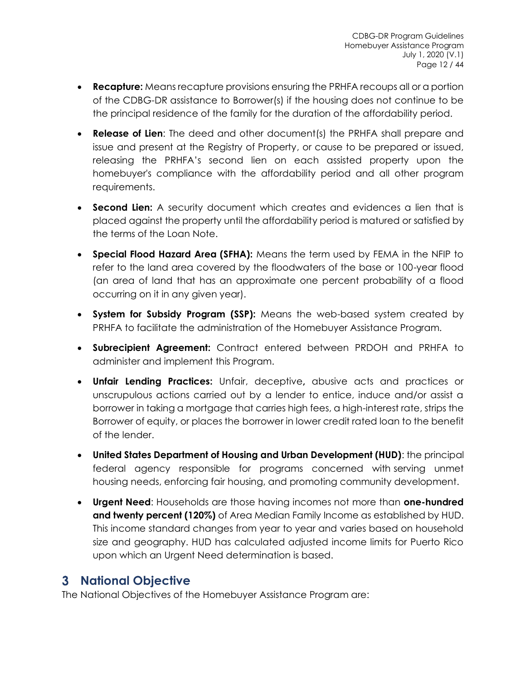- **Recapture:** Means recapture provisions ensuring the PRHFA recoups all or a portion of the CDBG-DR assistance to Borrower(s) if the housing does not continue to be the principal residence of the family for the duration of the affordability period.
- **Release of Lien**: The deed and other document(s) the PRHFA shall prepare and issue and present at the Registry of Property, or cause to be prepared or issued, releasing the PRHFA's second lien on each assisted property upon the homebuyer's compliance with the affordability period and all other program requirements.
- **Second Lien:** A security document which creates and evidences a lien that is placed against the property until the affordability period is matured or satisfied by the terms of the Loan Note.
- **Special Flood Hazard Area (SFHA):** Means the term used by FEMA in the NFIP to refer to the land area covered by the floodwaters of the base or 100-year flood (an area of land that has an approximate one percent probability of a flood occurring on it in any given year).
- **System for Subsidy Program (SSP):** Means the web-based system created by PRHFA to facilitate the administration of the Homebuyer Assistance Program.
- **Subrecipient Agreement:** Contract entered between PRDOH and PRHFA to administer and implement this Program.
- **Unfair Lending Practices:** Unfair, deceptive**,** abusive acts and practices or unscrupulous actions carried out by a lender to entice, induce and/or assist a borrower in taking a mortgage that carries high fees, a high-interest rate, strips the Borrower of equity, or places the borrower in lower credit rated loan to the benefit of the lender.
- **United States Department of Housing and Urban Development (HUD)**: the principal federal agency responsible for programs concerned with serving unmet housing needs, enforcing fair housing, and promoting community development.
- **Urgent Need**: Households are those having incomes not more than **one-hundred and twenty percent (120%)** of Area Median Family Income as established by HUD. This income standard changes from year to year and varies based on household size and geography. HUD has calculated adjusted income limits for Puerto Rico upon which an Urgent Need determination is based.

## <span id="page-11-0"></span>**National Objective**

The National Objectives of the Homebuyer Assistance Program are: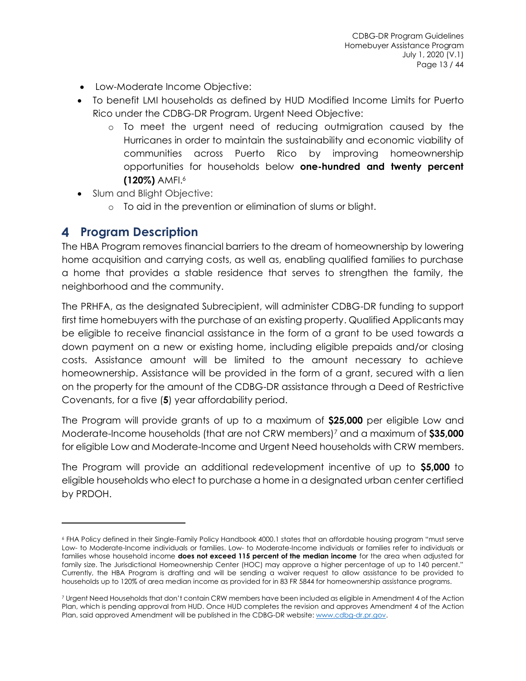- Low-Moderate Income Objective:
- To benefit LMI households as defined by HUD Modified Income Limits for Puerto Rico under the CDBG-DR Program. Urgent Need Objective:
	- o To meet the urgent need of reducing outmigration caused by the Hurricanes in order to maintain the sustainability and economic viability of communities across Puerto Rico by improving homeownership opportunities for households below **one-hundred and twenty percent (120%)** AMFI. 6
- Slum and Blight Objective:
	- o To aid in the prevention or elimination of slums or blight.

## <span id="page-12-0"></span>**Program Description**

The HBA Program removes financial barriers to the dream of homeownership by lowering home acquisition and carrying costs, as well as, enabling qualified families to purchase a home that provides a stable residence that serves to strengthen the family, the neighborhood and the community.

The PRHFA, as the designated Subrecipient, will administer CDBG-DR funding to support first time homebuyers with the purchase of an existing property. Qualified Applicants may be eligible to receive financial assistance in the form of a grant to be used towards a down payment on a new or existing home, including eligible prepaids and/or closing costs. Assistance amount will be limited to the amount necessary to achieve homeownership. Assistance will be provided in the form of a grant, secured with a lien on the property for the amount of the CDBG-DR assistance through a Deed of Restrictive Covenants, for a five (**5**) year affordability period.

The Program will provide grants of up to a maximum of **\$25,000** per eligible Low and Moderate-Income households (that are not CRW members)<sup>7</sup> and a maximum of **\$35,000** for eligible Low and Moderate-Income and Urgent Need households with CRW members.

The Program will provide an additional redevelopment incentive of up to **\$5,000** to eligible households who elect to purchase a home in a designated urban center certified by PRDOH.

<sup>6</sup> FHA Policy defined in their Single-Family Policy Handbook 4000.1 states that an affordable housing program "must serve Low- to Moderate-Income individuals or families. Low- to Moderate-Income individuals or families refer to individuals or families whose household income **does not exceed 115 percent of the median income** for the area when adjusted for family size. The Jurisdictional Homeownership Center (HOC) may approve a higher percentage of up to 140 percent." Currently, the HBA Program is drafting and will be sending a waiver request to allow assistance to be provided to households up to 120% of area median income as provided for in 83 FR 5844 for homeownership assistance programs.

<sup>7</sup> Urgent Need Households that don't contain CRW members have been included as eligible in Amendment 4 of the Action Plan, which is pending approval from HUD. Once HUD completes the revision and approves Amendment 4 of the Action Plan, said approved Amendment will be published in the CDBG-DR website: [www.cdbg-dr.pr.gov.](http://www.cdbg-dr.pr.gov/)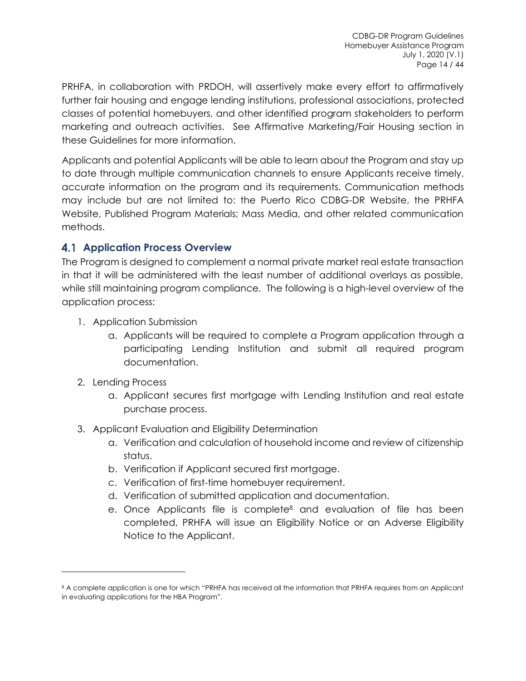PRHFA, in collaboration with PRDOH, will assertively make every effort to affirmatively further fair housing and engage lending institutions, professional associations, protected classes of potential homebuyers, and other identified program stakeholders to perform marketing and outreach activities. See Affirmative Marketing/Fair Housing section in these Guidelines for more information.

Applicants and potential Applicants will be able to learn about the Program and stay up to date through multiple communication channels to ensure Applicants receive timely, accurate information on the program and its requirements. Communication methods may include but are not limited to: the Puerto Rico CDBG-DR Website, the PRHFA Website, Published Program Materials; Mass Media, and other related communication methods.

## <span id="page-13-0"></span>**4.1 Application Process Overview**

The Program is designed to complement a normal private market real estate transaction in that it will be administered with the least number of additional overlays as possible, while still maintaining program compliance. The following is a high-level overview of the application process:

- 1. Application Submission
	- a. Applicants will be required to complete a Program application through a participating Lending Institution and submit all required program documentation.
- 2. Lending Process
	- a. Applicant secures first mortgage with Lending Institution and real estate purchase process.
- 3. Applicant Evaluation and Eligibility Determination
	- a. Verification and calculation of household income and review of citizenship status.
	- b. Verification if Applicant secured first mortgage.
	- c. Verification of first-time homebuyer requirement.
	- d. Verification of submitted application and documentation.
	- e. Once Applicants file is complete<sup>8</sup> and evaluation of file has been completed, PRHFA will issue an Eligibility Notice or an Adverse Eligibility Notice to the Applicant.

<sup>8</sup> A complete application is one for which "PRHFA has received all the information that PRHFA requires from an Applicant in evaluating applications for the HBA Program".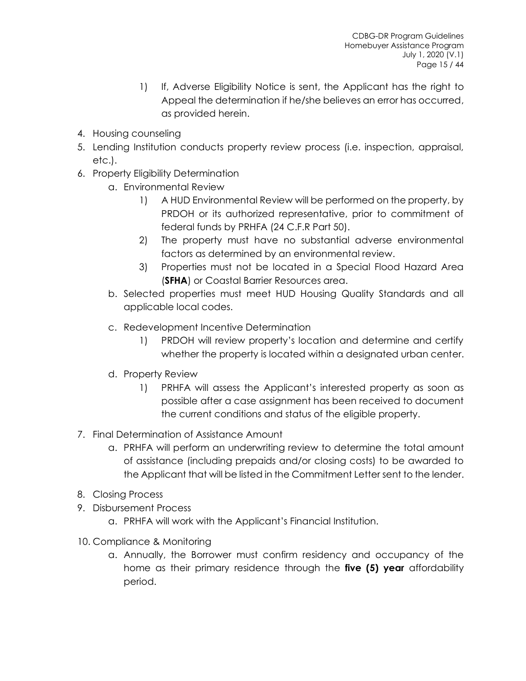- 1) If, Adverse Eligibility Notice is sent, the Applicant has the right to Appeal the determination if he/she believes an error has occurred, as provided herein.
- 4. Housing counseling
- 5. Lending Institution conducts property review process (i.e. inspection, appraisal, etc.).
- 6. Property Eligibility Determination
	- a. Environmental Review
		- 1) A HUD Environmental Review will be performed on the property, by PRDOH or its authorized representative, prior to commitment of federal funds by PRHFA (24 C.F.R Part 50).
		- 2) The property must have no substantial adverse environmental factors as determined by an environmental review.
		- 3) Properties must not be located in a Special Flood Hazard Area (**SFHA**) or Coastal Barrier Resources area.
	- b. Selected properties must meet HUD Housing Quality Standards and all applicable local codes.
	- c. Redevelopment Incentive Determination
		- 1) PRDOH will review property's location and determine and certify whether the property is located within a designated urban center.
	- d. Property Review
		- 1) PRHFA will assess the Applicant's interested property as soon as possible after a case assignment has been received to document the current conditions and status of the eligible property.
- 7. Final Determination of Assistance Amount
	- a. PRHFA will perform an underwriting review to determine the total amount of assistance (including prepaids and/or closing costs) to be awarded to the Applicant that will be listed in the Commitment Letter sent to the lender.
- 8. Closing Process
- 9. Disbursement Process
	- a. PRHFA will work with the Applicant's Financial Institution.
- 10. Compliance & Monitoring
	- a. Annually, the Borrower must confirm residency and occupancy of the home as their primary residence through the **five (5) year** affordability period.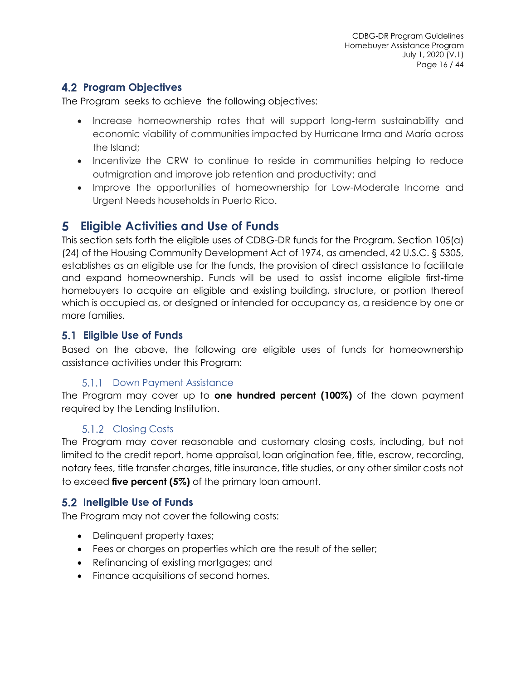## <span id="page-15-0"></span>**4.2 Program Objectives**

The Program seeks to achieve the following objectives:

- Increase homeownership rates that will support long-term sustainability and economic viability of communities impacted by Hurricane Irma and María across the Island;
- Incentivize the CRW to continue to reside in communities helping to reduce outmigration and improve job retention and productivity; and
- Improve the opportunities of homeownership for Low-Moderate Income and Urgent Needs households in Puerto Rico.

## <span id="page-15-1"></span>**Eligible Activities and Use of Funds**

This section sets forth the eligible uses of CDBG-DR funds for the Program. Section 105(a) (24) of the Housing Community Development Act of 1974, as amended, 42 U.S.C. § 5305, establishes as an eligible use for the funds, the provision of direct assistance to facilitate and expand homeownership. Funds will be used to assist income eligible first-time homebuyers to acquire an eligible and existing building, structure, or portion thereof which is occupied as, or designed or intended for occupancy as, a residence by one or more families.

## <span id="page-15-2"></span> **Eligible Use of Funds**

Based on the above, the following are eligible uses of funds for homeownership assistance activities under this Program:

## 5.1.1 Down Payment Assistance

The Program may cover up to **one hundred percent (100%)** of the down payment required by the Lending Institution.

## 5.1.2 Closing Costs

The Program may cover reasonable and customary closing costs, including, but not limited to the credit report, home appraisal, loan origination fee, title, escrow, recording, notary fees, title transfer charges, title insurance, title studies, or any other similar costs not to exceed **five percent (5%)** of the primary loan amount.

## <span id="page-15-3"></span>**5.2 Ineligible Use of Funds**

The Program may not cover the following costs:

- Delinquent property taxes;
- Fees or charges on properties which are the result of the seller;
- Refinancing of existing mortgages; and
- Finance acquisitions of second homes.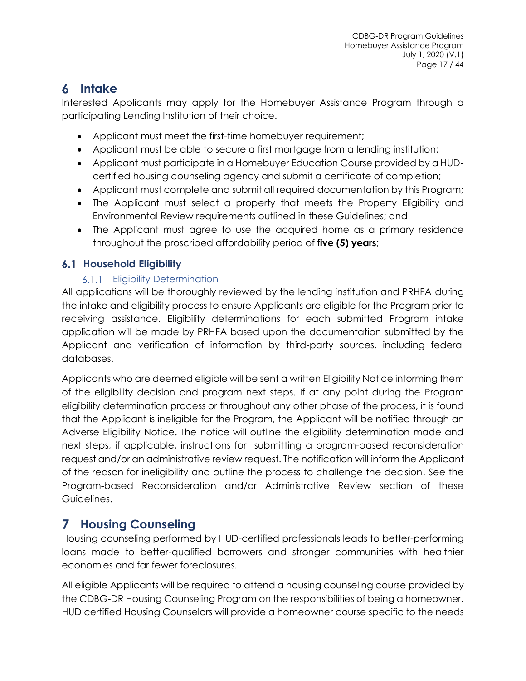# <span id="page-16-0"></span>**Intake**

Interested Applicants may apply for the Homebuyer Assistance Program through a participating Lending Institution of their choice.

- Applicant must meet the first-time homebuyer requirement;
- Applicant must be able to secure a first mortgage from a lending institution;
- Applicant must participate in a Homebuyer Education Course provided by a HUDcertified housing counseling agency and submit a certificate of completion;
- Applicant must complete and submit all required documentation by this Program;
- The Applicant must select a property that meets the Property Eligibility and Environmental Review requirements outlined in these Guidelines; and
- The Applicant must agree to use the acquired home as a primary residence throughout the proscribed affordability period of **five (5) years**;

## **Household Eligibility**

## <span id="page-16-1"></span>6.1.1 Eligibility Determination

All applications will be thoroughly reviewed by the lending institution and PRHFA during the intake and eligibility process to ensure Applicants are eligible for the Program prior to receiving assistance. Eligibility determinations for each submitted Program intake application will be made by PRHFA based upon the documentation submitted by the Applicant and verification of information by third-party sources, including federal databases.

Applicants who are deemed eligible will be sent a written Eligibility Notice informing them of the eligibility decision and program next steps. If at any point during the Program eligibility determination process or throughout any other phase of the process, it is found that the Applicant is ineligible for the Program, the Applicant will be notified through an Adverse Eligibility Notice. The notice will outline the eligibility determination made and next steps, if applicable, instructions for submitting a program-based reconsideration request and/or an administrative review request. The notification will inform the Applicant of the reason for ineligibility and outline the process to challenge the decision. See the Program-based Reconsideration and/or Administrative Review section of these Guidelines.

#### <span id="page-16-2"></span>**Housing Counseling** 7

Housing counseling performed by HUD-certified professionals leads to better-performing loans made to better-qualified borrowers and stronger communities with healthier economies and far fewer foreclosures.

All eligible Applicants will be required to attend a housing counseling course provided by the CDBG-DR Housing Counseling Program on the responsibilities of being a homeowner. HUD certified Housing Counselors will provide a homeowner course specific to the needs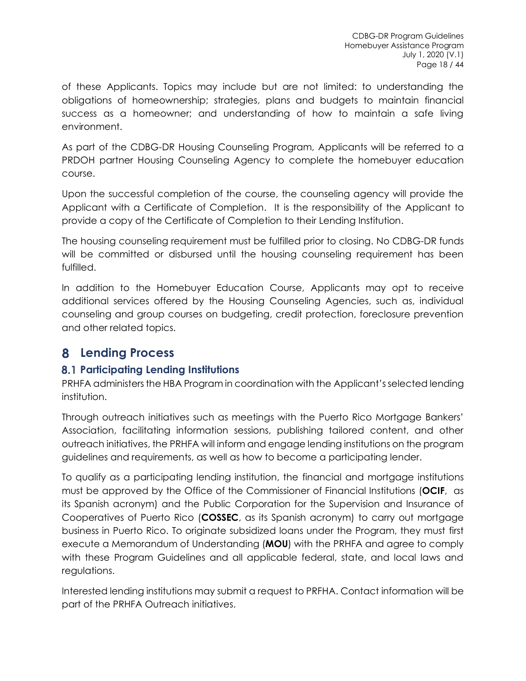of these Applicants. Topics may include but are not limited: to understanding the obligations of homeownership; strategies, plans and budgets to maintain financial success as a homeowner; and understanding of how to maintain a safe living environment.

As part of the CDBG-DR Housing Counseling Program, Applicants will be referred to a PRDOH partner Housing Counseling Agency to complete the homebuyer education course.

Upon the successful completion of the course, the counseling agency will provide the Applicant with a Certificate of Completion. It is the responsibility of the Applicant to provide a copy of the Certificate of Completion to their Lending Institution.

The housing counseling requirement must be fulfilled prior to closing. No CDBG-DR funds will be committed or disbursed until the housing counseling requirement has been fulfilled.

In addition to the Homebuyer Education Course, Applicants may opt to receive additional services offered by the Housing Counseling Agencies, such as, individual counseling and group courses on budgeting, credit protection, foreclosure prevention and other related topics.

## <span id="page-17-0"></span>**Lending Process**

## <span id="page-17-1"></span>**Participating Lending Institutions**

PRHFA administers the HBA Program in coordination with the Applicant's selected lending institution.

Through outreach initiatives such as meetings with the Puerto Rico Mortgage Bankers' Association, facilitating information sessions, publishing tailored content, and other outreach initiatives, the PRHFA will inform and engage lending institutions on the program guidelines and requirements, as well as how to become a participating lender.

To qualify as a participating lending institution, the financial and mortgage institutions must be approved by the Office of the Commissioner of Financial Institutions (**OCIF**, as its Spanish acronym) and the Public Corporation for the Supervision and Insurance of Cooperatives of Puerto Rico (**COSSEC**, as its Spanish acronym) to carry out mortgage business in Puerto Rico. To originate subsidized loans under the Program, they must first execute a Memorandum of Understanding (**MOU**) with the PRHFA and agree to comply with these Program Guidelines and all applicable federal, state, and local laws and regulations.

Interested lending institutions may submit a request to PRFHA. Contact information will be part of the PRHFA Outreach initiatives.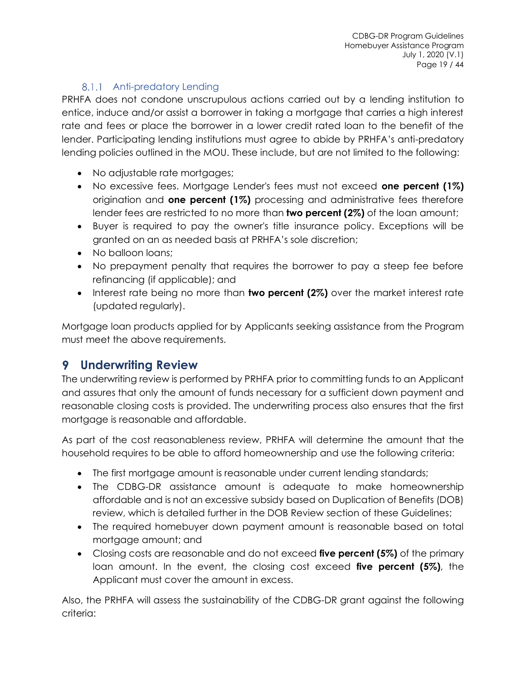## 8.1.1 Anti-predatory Lending

PRHFA does not condone unscrupulous actions carried out by a lending institution to entice, induce and/or assist a borrower in taking a mortgage that carries a high interest rate and fees or place the borrower in a lower credit rated loan to the benefit of the lender. Participating lending institutions must agree to abide by PRHFA's anti-predatory lending policies outlined in the MOU. These include, but are not limited to the following:

- No adjustable rate mortgages;
- No excessive fees. Mortgage Lender's fees must not exceed **one percent (1%)** origination and **one percent (1%)** processing and administrative fees therefore lender fees are restricted to no more than **two percent (2%)** of the loan amount;
- Buyer is required to pay the owner's title insurance policy. Exceptions will be granted on an as needed basis at PRHFA's sole discretion;
- No balloon loans;
- No prepayment penalty that requires the borrower to pay a steep fee before refinancing (if applicable); and
- Interest rate being no more than **two percent (2%)** over the market interest rate (updated regularly).

Mortgage loan products applied for by Applicants seeking assistance from the Program must meet the above requirements.

#### <span id="page-18-0"></span>9. **Underwriting Review**

The underwriting review is performed by PRHFA prior to committing funds to an Applicant and assures that only the amount of funds necessary for a sufficient down payment and reasonable closing costs is provided. The underwriting process also ensures that the first mortgage is reasonable and affordable.

As part of the cost reasonableness review, PRHFA will determine the amount that the household requires to be able to afford homeownership and use the following criteria:

- The first mortgage amount is reasonable under current lending standards;
- The CDBG-DR assistance amount is adequate to make homeownership affordable and is not an excessive subsidy based on Duplication of Benefits (DOB) review, which is detailed further in the DOB Review section of these Guidelines;
- The required homebuyer down payment amount is reasonable based on total mortgage amount; and
- Closing costs are reasonable and do not exceed **five percent (5%)** of the primary loan amount. In the event, the closing cost exceed **five percent (5%)**, the Applicant must cover the amount in excess.

Also, the PRHFA will assess the sustainability of the CDBG-DR grant against the following criteria: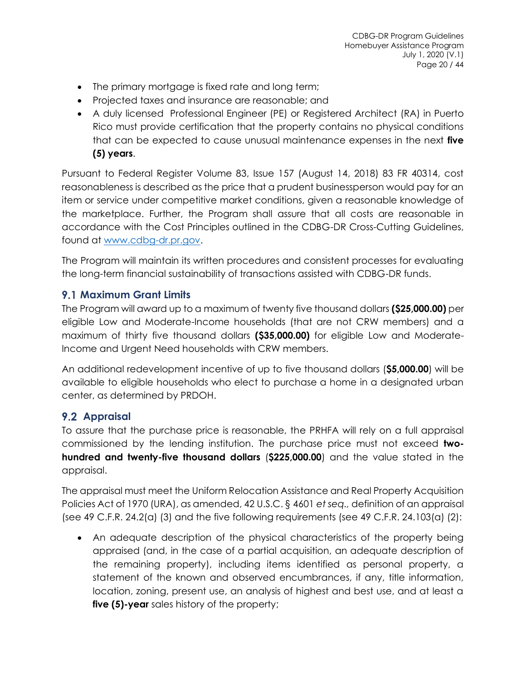- The primary mortgage is fixed rate and long term;
- Projected taxes and insurance are reasonable; and
- A duly licensed Professional Engineer (PE) or Registered Architect (RA) in Puerto Rico must provide certification that the property contains no physical conditions that can be expected to cause unusual maintenance expenses in the next **five (5) years**.

Pursuant to Federal Register Volume 83, Issue 157 (August 14, 2018) 83 FR 40314, cost reasonableness is described as the price that a prudent businessperson would pay for an item or service under competitive market conditions, given a reasonable knowledge of the marketplace. Further, the Program shall assure that all costs are reasonable in accordance with the Cost Principles outlined in the CDBG-DR Cross-Cutting Guidelines, found at [www.cdbg-dr.pr.gov.](http://www.cdbg-dr.pr.gov/)

The Program will maintain its written procedures and consistent processes for evaluating the long-term financial sustainability of transactions assisted with CDBG-DR funds.

## <span id="page-19-0"></span>**Maximum Grant Limits**

The Program will award up to a maximum of twenty five thousand dollars **(\$25,000.00)** per eligible Low and Moderate-Income households (that are not CRW members) and a maximum of thirty five thousand dollars **(\$35,000.00)** for eligible Low and Moderate-Income and Urgent Need households with CRW members.

An additional redevelopment incentive of up to five thousand dollars (**\$5,000.00**) will be available to eligible households who elect to purchase a home in a designated urban center, as determined by PRDOH.

## <span id="page-19-1"></span>**9.2 Appraisal**

To assure that the purchase price is reasonable, the PRHFA will rely on a full appraisal commissioned by the lending institution. The purchase price must not exceed **twohundred and twenty-five thousand dollars** (**\$225,000.00**) and the value stated in the appraisal.

The appraisal must meet the Uniform Relocation Assistance and Real Property Acquisition Policies Act of 1970 (URA), as amended, 42 U.S.C. § 4601 *et seq.,* definition of an appraisal (see 49 C.F.R. 24.2(a) (3) and the five following requirements (see 49 C.F.R. 24.103(a) (2):

• An adequate description of the physical characteristics of the property being appraised (and, in the case of a partial acquisition, an adequate description of the remaining property), including items identified as personal property, a statement of the known and observed encumbrances, if any, title information, location, zoning, present use, an analysis of highest and best use, and at least a **five (5)-year** sales history of the property;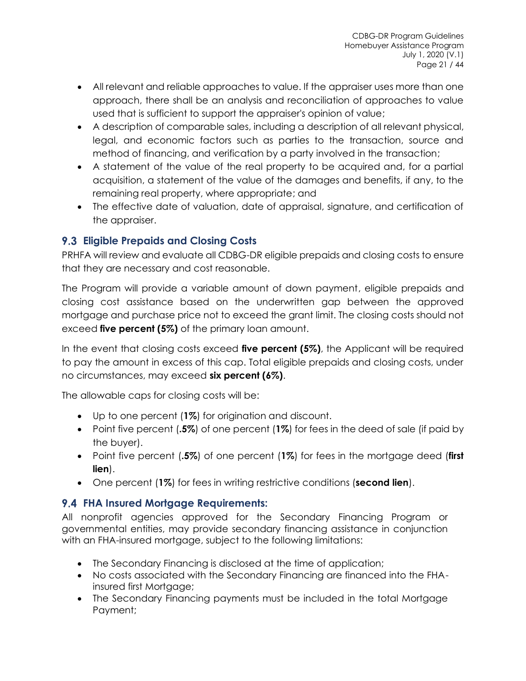- All relevant and reliable approaches to value. If the appraiser uses more than one approach, there shall be an analysis and reconciliation of approaches to value used that is sufficient to support the appraiser's opinion of value;
- A description of comparable sales, including a description of all relevant physical, legal, and economic factors such as parties to the transaction, source and method of financing, and verification by a party involved in the transaction;
- A statement of the value of the real property to be acquired and, for a partial acquisition, a statement of the value of the damages and benefits, if any, to the remaining real property, where appropriate; and
- The effective date of valuation, date of appraisal, signature, and certification of the appraiser.

## <span id="page-20-0"></span>**9.3 Eligible Prepaids and Closing Costs**

PRHFA will review and evaluate all CDBG-DR eligible prepaids and closing costs to ensure that they are necessary and cost reasonable.

The Program will provide a variable amount of down payment, eligible prepaids and closing cost assistance based on the underwritten gap between the approved mortgage and purchase price not to exceed the grant limit. The closing costs should not exceed **five percent (5%)** of the primary loan amount.

In the event that closing costs exceed **five percent (5%)**, the Applicant will be required to pay the amount in excess of this cap. Total eligible prepaids and closing costs, under no circumstances, may exceed **six percent (6%)**.

The allowable caps for closing costs will be:

- Up to one percent (**1%**) for origination and discount.
- Point five percent (**.5%**) of one percent (**1%**) for fees in the deed of sale (if paid by the buyer).
- Point five percent (**.5%**) of one percent (**1%**) for fees in the mortgage deed (**first lien**).
- One percent (**1%**) for fees in writing restrictive conditions (**second lien**).

## <span id="page-20-1"></span> **FHA Insured Mortgage Requirements:**

All nonprofit agencies approved for the Secondary Financing Program or governmental entities, may provide secondary financing assistance in conjunction with an FHA-insured mortgage, subject to the following limitations:

- The Secondary Financing is disclosed at the time of application;
- No costs associated with the Secondary Financing are financed into the FHAinsured first Mortgage;
- The Secondary Financing payments must be included in the total Mortgage Payment;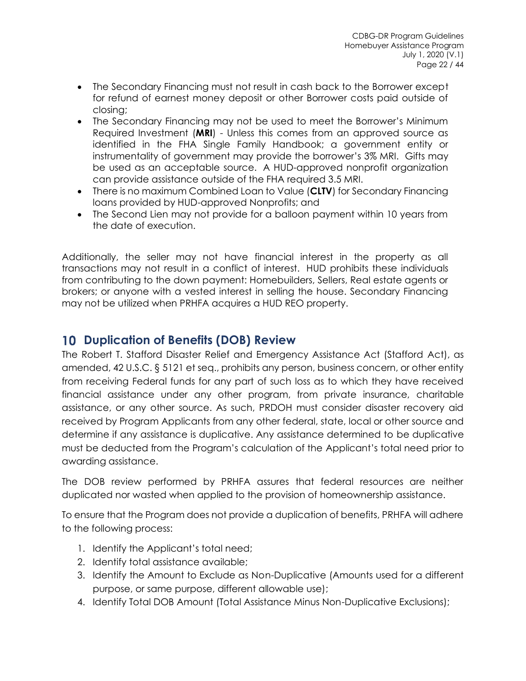- The Secondary Financing must not result in cash back to the Borrower except for refund of earnest money deposit or other Borrower costs paid outside of closing;
- The Secondary Financing may not be used to meet the Borrower's Minimum Required Investment (**MRI**) - Unless this comes from an approved source as identified in the FHA Single Family Handbook; a government entity or instrumentality of government may provide the borrower's 3% MRI. Gifts may be used as an acceptable source. A HUD-approved nonprofit organization can provide assistance outside of the FHA required 3.5 MRI.
- There is no maximum Combined Loan to Value (**CLTV**) for Secondary Financing loans provided by HUD-approved Nonprofits; and
- The Second Lien may not provide for a balloon payment within 10 years from the date of execution.

Additionally, the seller may not have financial interest in the property as all transactions may not result in a conflict of interest. HUD prohibits these individuals from contributing to the down payment: Homebuilders, Sellers, Real estate agents or brokers; or anyone with a vested interest in selling the house. Secondary Financing may not be utilized when PRHFA acquires a HUD REO property.

## <span id="page-21-0"></span>**Duplication of Benefits (DOB) Review**

The Robert T. Stafford Disaster Relief and Emergency Assistance Act (Stafford Act), as amended, 42 U.S.C. § 5121 et seq., prohibits any person, business concern, or other entity from receiving Federal funds for any part of such loss as to which they have received financial assistance under any other program, from private insurance, charitable assistance, or any other source. As such, PRDOH must consider disaster recovery aid received by Program Applicants from any other federal, state, local or other source and determine if any assistance is duplicative. Any assistance determined to be duplicative must be deducted from the Program's calculation of the Applicant's total need prior to awarding assistance.

The DOB review performed by PRHFA assures that federal resources are neither duplicated nor wasted when applied to the provision of homeownership assistance.

To ensure that the Program does not provide a duplication of benefits, PRHFA will adhere to the following process:

- 1. Identify the Applicant's total need;
- 2. Identify total assistance available;
- 3. Identify the Amount to Exclude as Non-Duplicative (Amounts used for a different purpose, or same purpose, different allowable use);
- 4. Identify Total DOB Amount (Total Assistance Minus Non-Duplicative Exclusions);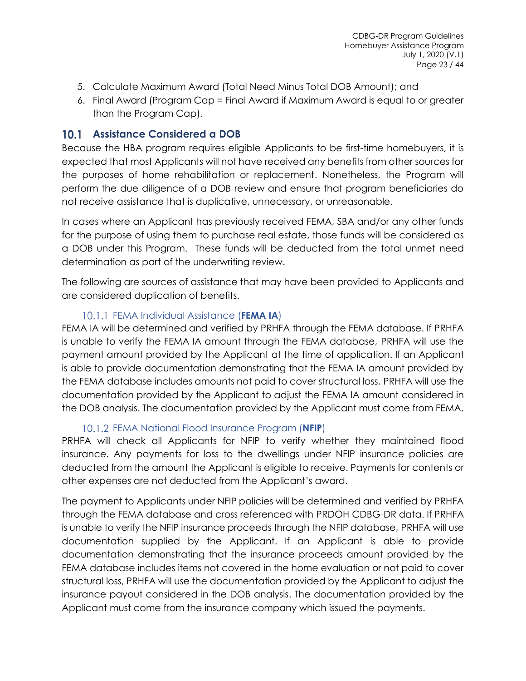- 5. Calculate Maximum Award (Total Need Minus Total DOB Amount); and
- 6. Final Award (Program Cap = Final Award if Maximum Award is equal to or greater than the Program Cap).

## <span id="page-22-0"></span>**Assistance Considered a DOB**

Because the HBA program requires eligible Applicants to be first-time homebuyers, it is expected that most Applicants will not have received any benefits from other sources for the purposes of home rehabilitation or replacement. Nonetheless, the Program will perform the due diligence of a DOB review and ensure that program beneficiaries do not receive assistance that is duplicative, unnecessary, or unreasonable.

In cases where an Applicant has previously received FEMA, SBA and/or any other funds for the purpose of using them to purchase real estate, those funds will be considered as a DOB under this Program. These funds will be deducted from the total unmet need determination as part of the underwriting review.

The following are sources of assistance that may have been provided to Applicants and are considered duplication of benefits.

#### FEMA Individual Assistance (**FEMA IA**)

FEMA IA will be determined and verified by PRHFA through the FEMA database. If PRHFA is unable to verify the FEMA IA amount through the FEMA database, PRHFA will use the payment amount provided by the Applicant at the time of application. If an Applicant is able to provide documentation demonstrating that the FEMA IA amount provided by the FEMA database includes amounts not paid to cover structural loss, PRHFA will use the documentation provided by the Applicant to adjust the FEMA IA amount considered in the DOB analysis. The documentation provided by the Applicant must come from FEMA.

#### FEMA National Flood Insurance Program (**NFIP**)

PRHFA will check all Applicants for NFIP to verify whether they maintained flood insurance. Any payments for loss to the dwellings under NFIP insurance policies are deducted from the amount the Applicant is eligible to receive. Payments for contents or other expenses are not deducted from the Applicant's award.

The payment to Applicants under NFIP policies will be determined and verified by PRHFA through the FEMA database and cross referenced with PRDOH CDBG-DR data. If PRHFA is unable to verify the NFIP insurance proceeds through the NFIP database, PRHFA will use documentation supplied by the Applicant. If an Applicant is able to provide documentation demonstrating that the insurance proceeds amount provided by the FEMA database includes items not covered in the home evaluation or not paid to cover structural loss, PRHFA will use the documentation provided by the Applicant to adjust the insurance payout considered in the DOB analysis. The documentation provided by the Applicant must come from the insurance company which issued the payments.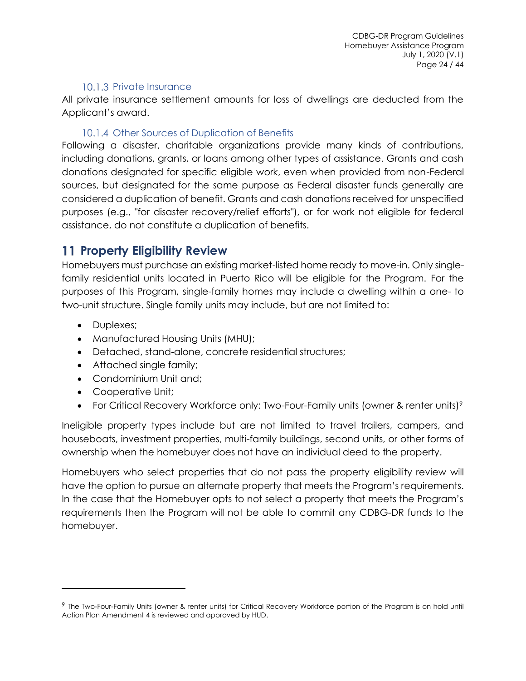#### 10.1.3 Private Insurance

All private insurance settlement amounts for loss of dwellings are deducted from the Applicant's award.

#### 10.1.4 Other Sources of Duplication of Benefits

Following a disaster, charitable organizations provide many kinds of contributions, including donations, grants, or loans among other types of assistance. Grants and cash donations designated for specific eligible work, even when provided from non-Federal sources, but designated for the same purpose as Federal disaster funds generally are considered a duplication of benefit. Grants and cash donations received for unspecified purposes (e.g., "for disaster recovery/relief efforts"), or for work not eligible for federal assistance, do not constitute a duplication of benefits.

## <span id="page-23-0"></span>**Property Eligibility Review**

Homebuyers must purchase an existing market-listed home ready to move-in. Only singlefamily residential units located in Puerto Rico will be eligible for the Program. For the purposes of this Program, single-family homes may include a dwelling within a one- to two-unit structure. Single family units may include, but are not limited to:

- Duplexes;
- Manufactured Housing Units (MHU);
- Detached, stand-alone, concrete residential structures;
- Attached single family;
- Condominium Unit and;
- Cooperative Unit;
- For Critical Recovery Workforce only: Two-Four-Family units (owner & renter units)<sup>9</sup>

Ineligible property types include but are not limited to travel trailers, campers, and houseboats, investment properties, multi-family buildings, second units, or other forms of ownership when the homebuyer does not have an individual deed to the property.

Homebuyers who select properties that do not pass the property eligibility review will have the option to pursue an alternate property that meets the Program's requirements. In the case that the Homebuyer opts to not select a property that meets the Program's requirements then the Program will not be able to commit any CDBG-DR funds to the homebuyer.

<sup>9</sup> The Two-Four-Family Units (owner & renter units) for Critical Recovery Workforce portion of the Program is on hold until Action Plan Amendment 4 is reviewed and approved by HUD.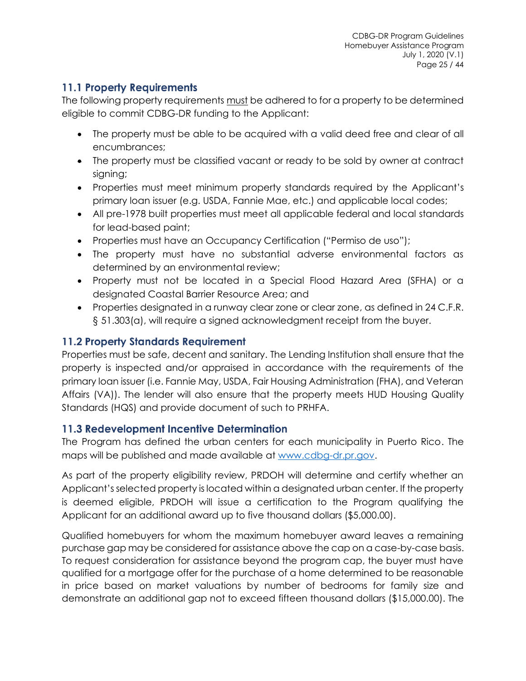## <span id="page-24-0"></span>**11.1 Property Requirements**

The following property requirements must be adhered to for a property to be determined eligible to commit CDBG-DR funding to the Applicant:

- The property must be able to be acquired with a valid deed free and clear of all encumbrances;
- The property must be classified vacant or ready to be sold by owner at contract signing;
- Properties must meet minimum property standards required by the Applicant's primary loan issuer (e.g. USDA, Fannie Mae, etc.) and applicable local codes;
- All pre-1978 built properties must meet all applicable federal and local standards for lead-based paint;
- Properties must have an Occupancy Certification ("Permiso de uso");
- The property must have no substantial adverse environmental factors as determined by an environmental review;
- Property must not be located in a Special Flood Hazard Area (SFHA) or a designated Coastal Barrier Resource Area; and
- Properties designated in a runway clear zone or clear zone, as defined in 24 C.F.R. § 51.303(a), will require a signed acknowledgment receipt from the buyer.

## <span id="page-24-1"></span>**11.2 Property Standards Requirement**

Properties must be safe, decent and sanitary. The Lending Institution shall ensure that the property is inspected and/or appraised in accordance with the requirements of the primary loan issuer (i.e. Fannie May, USDA, Fair Housing Administration (FHA), and Veteran Affairs (VA)). The lender will also ensure that the property meets HUD Housing Quality Standards (HQS) and provide document of such to PRHFA.

## <span id="page-24-2"></span>**11.3 Redevelopment Incentive Determination**

The Program has defined the urban centers for each municipality in Puerto Rico. The maps will be published and made available at [www.cdbg-dr.pr.gov.](http://www.cdbg-dr.pr.gov/)

As part of the property eligibility review, PRDOH will determine and certify whether an Applicant's selected property is located within a designated urban center. If the property is deemed eligible, PRDOH will issue a certification to the Program qualifying the Applicant for an additional award up to five thousand dollars (\$5,000.00).

Qualified homebuyers for whom the maximum homebuyer award leaves a remaining purchase gap may be considered for assistance above the cap on a case-by-case basis. To request consideration for assistance beyond the program cap, the buyer must have qualified for a mortgage offer for the purchase of a home determined to be reasonable in price based on market valuations by number of bedrooms for family size and demonstrate an additional gap not to exceed fifteen thousand dollars (\$15,000.00). The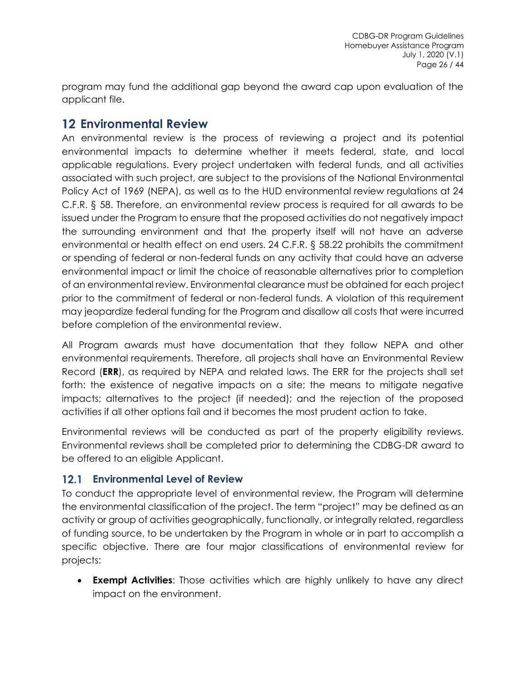program may fund the additional gap beyond the award cap upon evaluation of the applicant file.

## <span id="page-25-0"></span>**Environmental Review**

An environmental review is the process of reviewing a project and its potential environmental impacts to determine whether it meets federal, state, and local applicable regulations. Every project undertaken with federal funds, and all activities associated with such project, are subject to the provisions of the National Environmental Policy Act of 1969 (NEPA), as well as to the HUD environmental review regulations at 24 C.F.R. § 58. Therefore, an environmental review process is required for all awards to be issued under the Program to ensure that the proposed activities do not negatively impact the surrounding environment and that the property itself will not have an adverse environmental or health effect on end users. 24 C.F.R. § 58.22 prohibits the commitment or spending of federal or non-federal funds on any activity that could have an adverse environmental impact or limit the choice of reasonable alternatives prior to completion of an environmental review. Environmental clearance must be obtained for each project prior to the commitment of federal or non-federal funds. A violation of this requirement may jeopardize federal funding for the Program and disallow all costs that were incurred before completion of the environmental review.

All Program awards must have documentation that they follow NEPA and other environmental requirements. Therefore, all projects shall have an Environmental Review Record (**ERR**), as required by NEPA and related laws. The ERR for the projects shall set forth: the existence of negative impacts on a site; the means to mitigate negative impacts; alternatives to the project (if needed); and the rejection of the proposed activities if all other options fail and it becomes the most prudent action to take.

Environmental reviews will be conducted as part of the property eligibility reviews. Environmental reviews shall be completed prior to determining the CDBG-DR award to be offered to an eligible Applicant.

## <span id="page-25-1"></span>**Environmental Level of Review**

To conduct the appropriate level of environmental review, the Program will determine the environmental classification of the project. The term "project" may be defined as an activity or group of activities geographically, functionally, or integrally related, regardless of funding source, to be undertaken by the Program in whole or in part to accomplish a specific objective. There are four major classifications of environmental review for projects:

• **Exempt Activities**: Those activities which are highly unlikely to have any direct impact on the environment.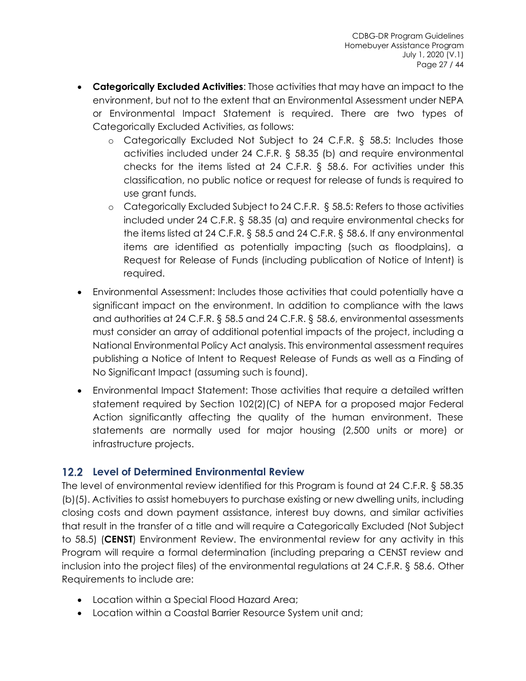- **Categorically Excluded Activities**: Those activities that may have an impact to the environment, but not to the extent that an Environmental Assessment under NEPA or Environmental Impact Statement is required. There are two types of Categorically Excluded Activities, as follows:
	- o Categorically Excluded Not Subject to 24 C.F.R. § 58.5: Includes those activities included under 24 C.F.R. § 58.35 (b) and require environmental checks for the items listed at 24 C.F.R. § 58.6. For activities under this classification, no public notice or request for release of funds is required to use grant funds.
	- o Categorically Excluded Subject to 24 C.F.R. § 58.5: Refers to those activities included under 24 C.F.R. § 58.35 (a) and require environmental checks for the items listed at 24 C.F.R. § 58.5 and 24 C.F.R. § 58.6. If any environmental items are identified as potentially impacting (such as floodplains), a Request for Release of Funds (including publication of Notice of Intent) is required.
- Environmental Assessment: Includes those activities that could potentially have a significant impact on the environment. In addition to compliance with the laws and authorities at 24 C.F.R. § 58.5 and 24 C.F.R. § 58.6, environmental assessments must consider an array of additional potential impacts of the project, including a National Environmental Policy Act analysis. This environmental assessment requires publishing a Notice of Intent to Request Release of Funds as well as a Finding of No Significant Impact (assuming such is found).
- Environmental Impact Statement: Those activities that require a detailed written statement required by Section 102(2)(C) of NEPA for a proposed major Federal Action significantly affecting the quality of the human environment. These statements are normally used for major housing (2,500 units or more) or infrastructure projects.

## <span id="page-26-0"></span>**Level of Determined Environmental Review**

The level of environmental review identified for this Program is found at 24 C.F.R. § 58.35 (b)(5). Activities to assist homebuyers to purchase existing or new dwelling units, including closing costs and down payment assistance, interest buy downs, and similar activities that result in the transfer of a title and will require a Categorically Excluded (Not Subject to 58.5) (**CENST**) Environment Review. The environmental review for any activity in this Program will require a formal determination (including preparing a CENST review and inclusion into the project files) of the environmental regulations at 24 C.F.R. § 58.6. Other Requirements to include are:

- Location within a Special Flood Hazard Area;
- Location within a Coastal Barrier Resource System unit and;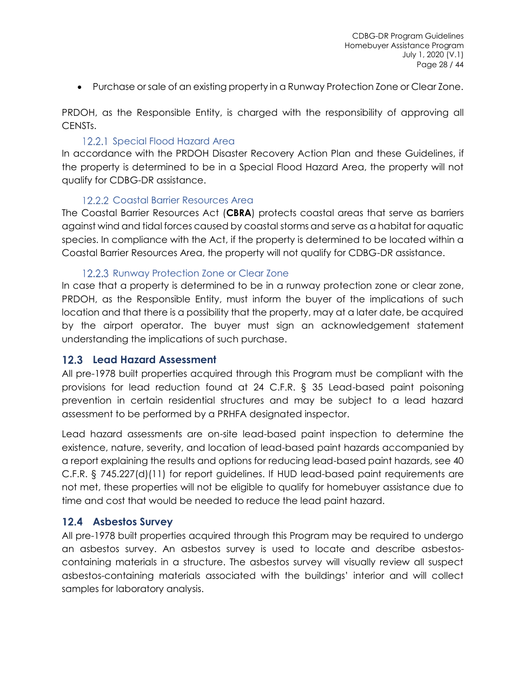• Purchase or sale of an existing property in a Runway Protection Zone or Clear Zone.

PRDOH, as the Responsible Entity, is charged with the responsibility of approving all CENSTs.

#### 12.2.1 Special Flood Hazard Area

In accordance with the PRDOH Disaster Recovery Action Plan and these Guidelines, if the property is determined to be in a Special Flood Hazard Area, the property will not qualify for CDBG-DR assistance.

#### 12.2.2 Coastal Barrier Resources Area

The Coastal Barrier Resources Act (**CBRA**) protects coastal areas that serve as barriers against wind and tidal forces caused by coastal storms and serve as a habitat for aquatic species. In compliance with the Act, if the property is determined to be located within a Coastal Barrier Resources Area, the property will not qualify for CDBG-DR assistance.

#### 12.2.3 Runway Protection Zone or Clear Zone

In case that a property is determined to be in a runway protection zone or clear zone, PRDOH, as the Responsible Entity, must inform the buyer of the implications of such location and that there is a possibility that the property, may at a later date, be acquired by the airport operator. The buyer must sign an acknowledgement statement understanding the implications of such purchase.

## <span id="page-27-0"></span>**Lead Hazard Assessment**

All pre-1978 built properties acquired through this Program must be compliant with the provisions for lead reduction found at 24 C.F.R. § 35 Lead-based paint poisoning prevention in certain residential structures and may be subject to a lead hazard assessment to be performed by a PRHFA designated inspector.

Lead hazard assessments are on-site lead-based paint inspection to determine the existence, nature, severity, and location of lead-based paint hazards accompanied by a report explaining the results and options for reducing lead-based paint hazards, see 40 C.F.R. § 745.227(d)(11) for report guidelines. If HUD lead-based paint requirements are not met, these properties will not be eligible to qualify for homebuyer assistance due to time and cost that would be needed to reduce the lead paint hazard.

## <span id="page-27-1"></span>**Asbestos Survey**

All pre-1978 built properties acquired through this Program may be required to undergo an asbestos survey. An asbestos survey is used to locate and describe asbestoscontaining materials in a structure. The asbestos survey will visually review all suspect asbestos-containing materials associated with the buildings' interior and will collect samples for laboratory analysis.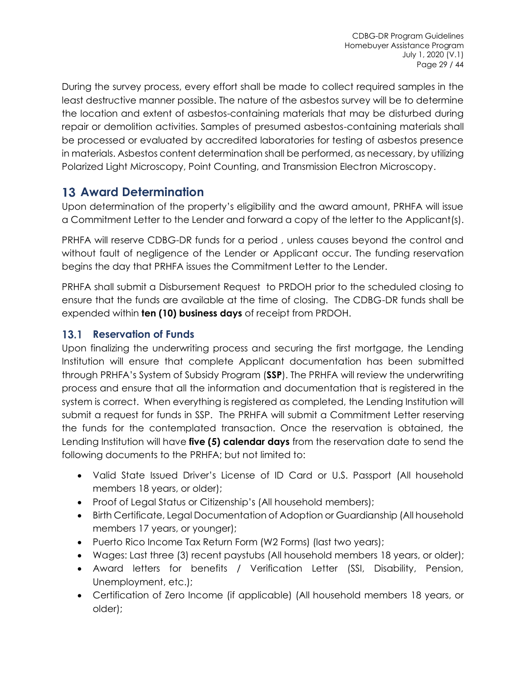During the survey process, every effort shall be made to collect required samples in the least destructive manner possible. The nature of the asbestos survey will be to determine the location and extent of asbestos-containing materials that may be disturbed during repair or demolition activities. Samples of presumed asbestos-containing materials shall be processed or evaluated by accredited laboratories for testing of asbestos presence in materials. Asbestos content determination shall be performed, as necessary, by utilizing Polarized Light Microscopy, Point Counting, and Transmission Electron Microscopy.

## <span id="page-28-0"></span>**Award Determination**

Upon determination of the property's eligibility and the award amount, PRHFA will issue a Commitment Letter to the Lender and forward a copy of the letter to the Applicant(s).

PRHFA will reserve CDBG-DR funds for a period , unless causes beyond the control and without fault of negligence of the Lender or Applicant occur. The funding reservation begins the day that PRHFA issues the Commitment Letter to the Lender.

PRHFA shall submit a Disbursement Request to PRDOH prior to the scheduled closing to ensure that the funds are available at the time of closing. The CDBG-DR funds shall be expended within **ten (10) business days** of receipt from PRDOH.

## <span id="page-28-1"></span>**13.1 Reservation of Funds**

Upon finalizing the underwriting process and securing the first mortgage, the Lending Institution will ensure that complete Applicant documentation has been submitted through PRHFA's System of Subsidy Program (**SSP**). The PRHFA will review the underwriting process and ensure that all the information and documentation that is registered in the system is correct. When everything is registered as completed, the Lending Institution will submit a request for funds in SSP. The PRHFA will submit a Commitment Letter reserving the funds for the contemplated transaction. Once the reservation is obtained, the Lending Institution will have **five (5) calendar days** from the reservation date to send the following documents to the PRHFA; but not limited to:

- Valid State Issued Driver's License of ID Card or U.S. Passport (All household members 18 years, or older);
- Proof of Legal Status or Citizenship's (All household members);
- Birth Certificate, Legal Documentation of Adoption or Guardianship (All household members 17 years, or younger);
- Puerto Rico Income Tax Return Form (W2 Forms) (last two years);
- Wages: Last three (3) recent paystubs (All household members 18 years, or older);
- Award letters for benefits / Verification Letter (SSI, Disability, Pension, Unemployment, etc.);
- Certification of Zero Income (if applicable) (All household members 18 years, or older);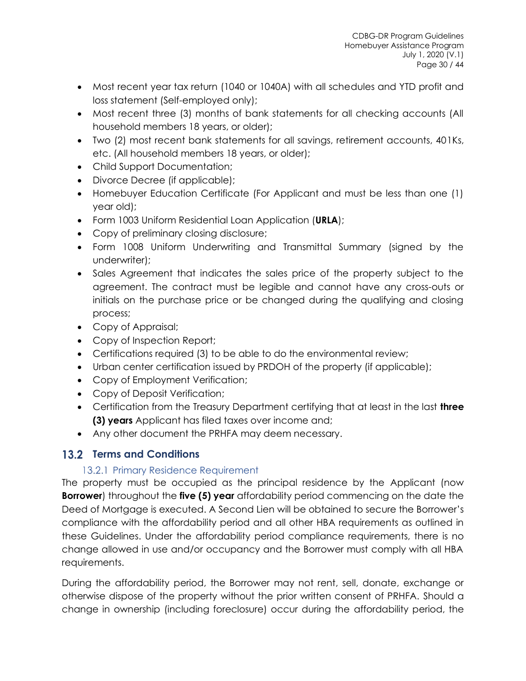- Most recent year tax return (1040 or 1040A) with all schedules and YTD profit and loss statement (Self-employed only);
- Most recent three (3) months of bank statements for all checking accounts (All household members 18 years, or older);
- Two (2) most recent bank statements for all savings, retirement accounts, 401Ks, etc. (All household members 18 years, or older);
- Child Support Documentation;
- Divorce Decree (if applicable);
- Homebuyer Education Certificate (For Applicant and must be less than one (1) year old);
- Form 1003 Uniform Residential Loan Application (**URLA**);
- Copy of preliminary closing disclosure;
- Form 1008 Uniform Underwriting and Transmittal Summary (signed by the underwriter);
- Sales Agreement that indicates the sales price of the property subject to the agreement. The contract must be legible and cannot have any cross-outs or initials on the purchase price or be changed during the qualifying and closing process;
- Copy of Appraisal;
- Copy of Inspection Report;
- Certifications required (3) to be able to do the environmental review;
- Urban center certification issued by PRDOH of the property (if applicable);
- Copy of Employment Verification;
- Copy of Deposit Verification;
- Certification from the Treasury Department certifying that at least in the last **three (3) years** Applicant has filed taxes over income and;
- Any other document the PRHFA may deem necessary.

## <span id="page-29-0"></span>13.2 Terms and Conditions

## 13.2.1 Primary Residence Requirement

The property must be occupied as the principal residence by the Applicant (now **Borrower**) throughout the **five (5) year** affordability period commencing on the date the Deed of Mortgage is executed. A Second Lien will be obtained to secure the Borrower's compliance with the affordability period and all other HBA requirements as outlined in these Guidelines. Under the affordability period compliance requirements, there is no change allowed in use and/or occupancy and the Borrower must comply with all HBA requirements.

During the affordability period, the Borrower may not rent, sell, donate, exchange or otherwise dispose of the property without the prior written consent of PRHFA. Should a change in ownership (including foreclosure) occur during the affordability period, the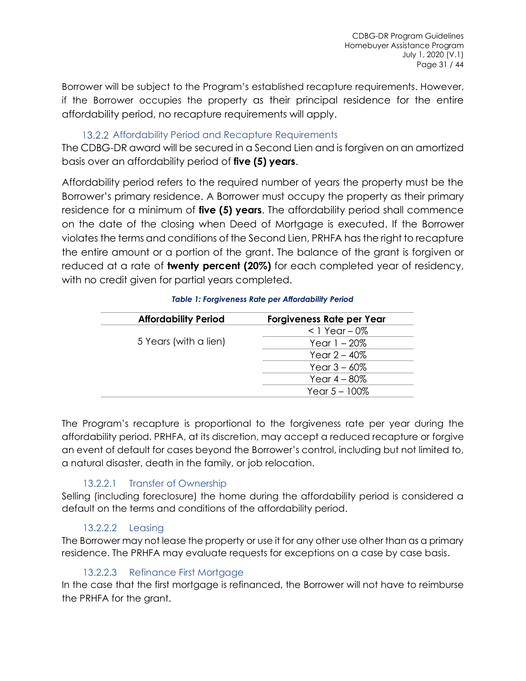Borrower will be subject to the Program's established recapture requirements. However, if the Borrower occupies the property as their principal residence for the entire affordability period, no recapture requirements will apply.

#### 13.2.2 Affordability Period and Recapture Requirements

The CDBG-DR award will be secured in a Second Lien and is forgiven on an amortized basis over an affordability period of **five (5) years**.

Affordability period refers to the required number of years the property must be the Borrower's primary residence. A Borrower must occupy the property as their primary residence for a minimum of **five (5) years**. The affordability period shall commence on the date of the closing when Deed of Mortgage is executed. If the Borrower violates the terms and conditions of the Second Lien, PRHFA has the right to recapture the entire amount or a portion of the grant. The balance of the grant is forgiven or reduced at a rate of **twenty percent (20%)** for each completed year of residency, with no credit given for partial years completed.

| <b>Affordability Period</b> | <b>Forgiveness Rate per Year</b> |
|-----------------------------|----------------------------------|
|                             | $<$ 1 Year – 0%                  |
| 5 Years (with a lien)       | Year $1 - 20\%$                  |
|                             | Year $2 - 40\%$                  |
|                             | Year $3 - 60\%$                  |
|                             | Year $4 - 80\%$                  |
|                             | Year $5 - 100\%$                 |

#### *Table 1: Forgiveness Rate per Affordability Period*

The Program's recapture is proportional to the forgiveness rate per year during the affordability period. PRHFA, at its discretion, may accept a reduced recapture or forgive an event of default for cases beyond the Borrower's control, including but not limited to, a natural disaster, death in the family, or job relocation.

## 13.2.2.1 Transfer of Ownership

Selling (including foreclosure) the home during the affordability period is considered a default on the terms and conditions of the affordability period.

## 13.2.2.2 Leasing

The Borrower may not lease the property or use it for any other use other than as a primary residence. The PRHFA may evaluate requests for exceptions on a case by case basis.

## 13.2.2.3 Refinance First Mortgage

In the case that the first mortgage is refinanced, the Borrower will not have to reimburse the PRHFA for the grant.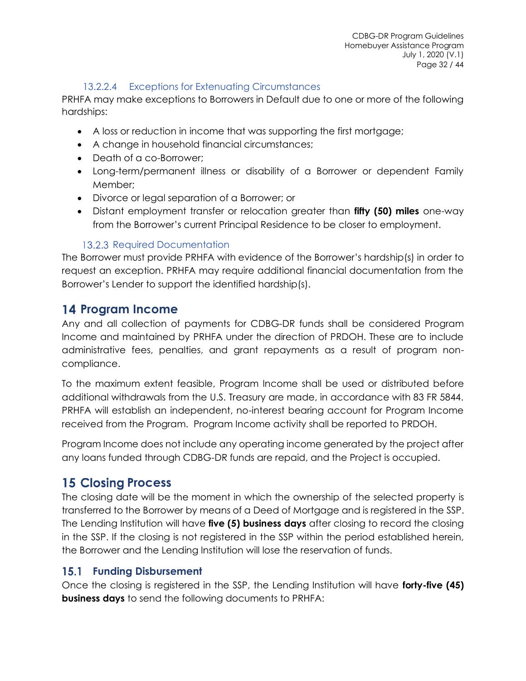## 13.2.2.4 Exceptions for Extenuating Circumstances

PRHFA may make exceptions to Borrowers in Default due to one or more of the following hardships:

- A loss or reduction in income that was supporting the first mortgage;
- A change in household financial circumstances;
- Death of a co-Borrower;
- Long-term/permanent illness or disability of a Borrower or dependent Family Member;
- Divorce or legal separation of a Borrower; or
- Distant employment transfer or relocation greater than **fifty (50) miles** one-way from the Borrower's current Principal Residence to be closer to employment.

## 13.2.3 Required Documentation

The Borrower must provide PRHFA with evidence of the Borrower's hardship(s) in order to request an exception. PRHFA may require additional financial documentation from the Borrower's Lender to support the identified hardship(s).

## <span id="page-31-0"></span>**14 Program Income**

Any and all collection of payments for CDBG-DR funds shall be considered Program Income and maintained by PRHFA under the direction of PRDOH. These are to include administrative fees, penalties, and grant repayments as a result of program noncompliance.

To the maximum extent feasible, Program Income shall be used or distributed before additional withdrawals from the U.S. Treasury are made, in accordance with 83 FR 5844. PRHFA will establish an independent, no-interest bearing account for Program Income received from the Program. Program Income activity shall be reported to PRDOH.

Program Income does not include any operating income generated by the project after any loans funded through CDBG-DR funds are repaid, and the Project is occupied.

# <span id="page-31-1"></span>**15 Closing Process**

The closing date will be the moment in which the ownership of the selected property is transferred to the Borrower by means of a Deed of Mortgage and is registered in the SSP. The Lending Institution will have **five (5) business days** after closing to record the closing in the SSP. If the closing is not registered in the SSP within the period established herein, the Borrower and the Lending Institution will lose the reservation of funds.

## <span id="page-31-2"></span>**Funding Disbursement**

Once the closing is registered in the SSP, the Lending Institution will have **forty-five (45) business days** to send the following documents to PRHFA: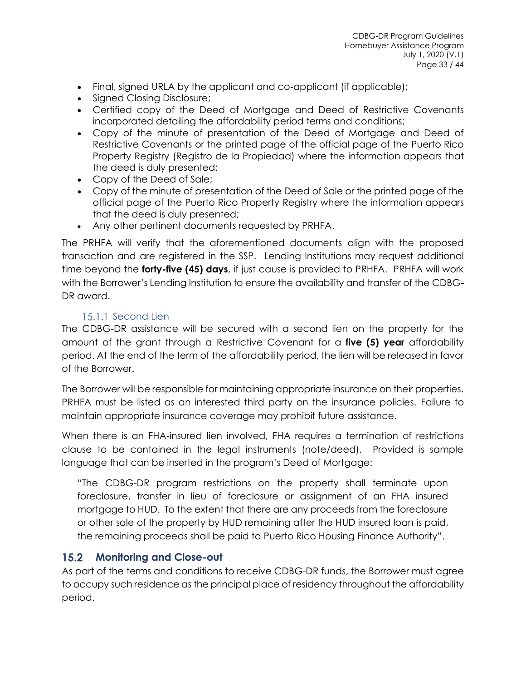- Final, signed URLA by the applicant and co-applicant (if applicable);
- Signed Closing Disclosure;
- Certified copy of the Deed of Mortgage and Deed of Restrictive Covenants incorporated detailing the affordability period terms and conditions;
- Copy of the minute of presentation of the Deed of Mortgage and Deed of Restrictive Covenants or the printed page of the official page of the Puerto Rico Property Registry (Registro de la Propiedad) where the information appears that the deed is duly presented;
- Copy of the Deed of Sale;
- Copy of the minute of presentation of the Deed of Sale or the printed page of the official page of the Puerto Rico Property Registry where the information appears that the deed is duly presented;
- Any other pertinent documents requested by PRHFA.

The PRHFA will verify that the aforementioned documents align with the proposed transaction and are registered in the SSP. Lending Institutions may request additional time beyond the **forty-five (45) days**, if just cause is provided to PRHFA. PRHFA will work with the Borrower's Lending Institution to ensure the availability and transfer of the CDBG-DR award.

## 15.1.1 Second Lien

The CDBG-DR assistance will be secured with a second lien on the property for the amount of the grant through a Restrictive Covenant for a **five (5) year** affordability period. At the end of the term of the affordability period, the lien will be released in favor of the Borrower.

The Borrower will be responsible for maintaining appropriate insurance on their properties. PRHFA must be listed as an interested third party on the insurance policies. Failure to maintain appropriate insurance coverage may prohibit future assistance.

When there is an FHA-insured lien involved, FHA requires a termination of restrictions clause to be contained in the legal instruments (note/deed). Provided is sample language that can be inserted in the program's Deed of Mortgage:

"The CDBG-DR program restrictions on the property shall terminate upon foreclosure, transfer in lieu of foreclosure or assignment of an FHA insured mortgage to HUD. To the extent that there are any proceeds from the foreclosure or other sale of the property by HUD remaining after the HUD insured loan is paid, the remaining proceeds shall be paid to Puerto Rico Housing Finance Authority".

#### <span id="page-32-0"></span> $15.2$ **Monitoring and Close-out**

As part of the terms and conditions to receive CDBG-DR funds, the Borrower must agree to occupy such residence as the principal place of residency throughout the affordability period.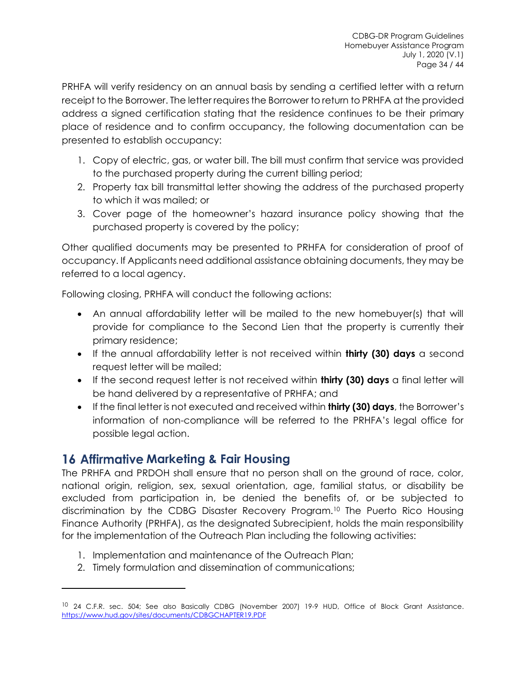PRHFA will verify residency on an annual basis by sending a certified letter with a return receipt to the Borrower. The letter requires the Borrower to return to PRHFA at the provided address a signed certification stating that the residence continues to be their primary place of residence and to confirm occupancy, the following documentation can be presented to establish occupancy:

- 1. Copy of electric, gas, or water bill. The bill must confirm that service was provided to the purchased property during the current billing period;
- 2. Property tax bill transmittal letter showing the address of the purchased property to which it was mailed; or
- 3. Cover page of the homeowner's hazard insurance policy showing that the purchased property is covered by the policy;

Other qualified documents may be presented to PRHFA for consideration of proof of occupancy. If Applicants need additional assistance obtaining documents, they may be referred to a local agency.

Following closing, PRHFA will conduct the following actions:

- An annual affordability letter will be mailed to the new homebuyer(s) that will provide for compliance to the Second Lien that the property is currently their primary residence;
- If the annual affordability letter is not received within **thirty (30) days** a second request letter will be mailed;
- If the second request letter is not received within **thirty (30) days** a final letter will be hand delivered by a representative of PRHFA; and
- If the final letter is not executed and received within **thirty (30) days**, the Borrower's information of non-compliance will be referred to the PRHFA's legal office for possible legal action.

# <span id="page-33-0"></span>**16 Affirmative Marketing & Fair Housing**

The PRHFA and PRDOH shall ensure that no person shall on the ground of race, color, national origin, religion, sex, sexual orientation, age, familial status, or disability be excluded from participation in, be denied the benefits of, or be subjected to discrimination by the CDBG Disaster Recovery Program.<sup>10</sup> The Puerto Rico Housing Finance Authority (PRHFA), as the designated Subrecipient, holds the main responsibility for the implementation of the Outreach Plan including the following activities:

- 1. Implementation and maintenance of the Outreach Plan;
- 2. Timely formulation and dissemination of communications;

<sup>10</sup> 24 C.F.R. sec. 504; See also Basically CDBG (November 2007) 19-9 HUD, Office of Block Grant Assistance. <https://www.hud.gov/sites/documents/CDBGCHAPTER19.PDF>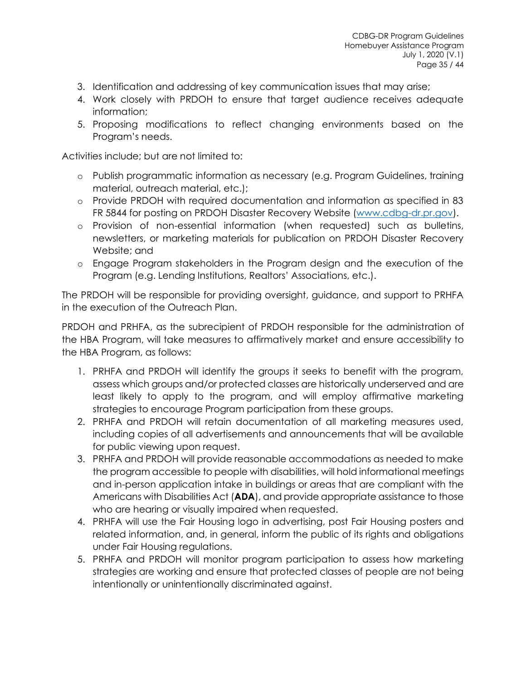- 3. Identification and addressing of key communication issues that may arise;
- 4. Work closely with PRDOH to ensure that target audience receives adequate information;
- 5. Proposing modifications to reflect changing environments based on the Program's needs.

Activities include; but are not limited to:

- o Publish programmatic information as necessary (e.g. Program Guidelines, training material, outreach material, etc.);
- o Provide PRDOH with required documentation and information as specified in 83 FR 5844 for posting on PRDOH Disaster Recovery Website [\(www.cdbg-dr.pr.gov\)](http://www.cdbg-dr.pr.gov/).
- o Provision of non-essential information (when requested) such as bulletins, newsletters, or marketing materials for publication on PRDOH Disaster Recovery Website; and
- o Engage Program stakeholders in the Program design and the execution of the Program (e.g. Lending Institutions, Realtors' Associations, etc.).

The PRDOH will be responsible for providing oversight, guidance, and support to PRHFA in the execution of the Outreach Plan.

PRDOH and PRHFA, as the subrecipient of PRDOH responsible for the administration of the HBA Program, will take measures to affirmatively market and ensure accessibility to the HBA Program, as follows:

- 1. PRHFA and PRDOH will identify the groups it seeks to benefit with the program, assess which groups and/or protected classes are historically underserved and are least likely to apply to the program, and will employ affirmative marketing strategies to encourage Program participation from these groups.
- 2. PRHFA and PRDOH will retain documentation of all marketing measures used, including copies of all advertisements and announcements that will be available for public viewing upon request.
- 3. PRHFA and PRDOH will provide reasonable accommodations as needed to make the program accessible to people with disabilities, will hold informational meetings and in-person application intake in buildings or areas that are compliant with the Americans with Disabilities Act (**ADA**), and provide appropriate assistance to those who are hearing or visually impaired when requested.
- 4. PRHFA will use the Fair Housing logo in advertising, post Fair Housing posters and related information, and, in general, inform the public of its rights and obligations under Fair Housing regulations.
- 5. PRHFA and PRDOH will monitor program participation to assess how marketing strategies are working and ensure that protected classes of people are not being intentionally or unintentionally discriminated against.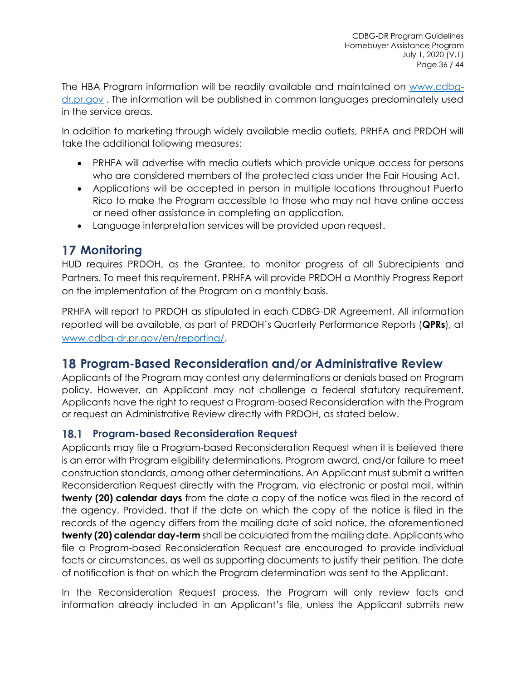The HBA Program information will be readily available and maintained on [www.cdbg](http://www.cdbg-dr.pr.gov/)[dr.pr.gov](http://www.cdbg-dr.pr.gov/). The information will be published in common languages predominately used in the service areas.

In addition to marketing through widely available media outlets, PRHFA and PRDOH will take the additional following measures:

- PRHFA will advertise with media outlets which provide unique access for persons who are considered members of the protected class under the Fair Housing Act.
- Applications will be accepted in person in multiple locations throughout Puerto Rico to make the Program accessible to those who may not have online access or need other assistance in completing an application.
- Language interpretation services will be provided upon request.

## <span id="page-35-0"></span>**17 Monitoring**

HUD requires PRDOH, as the Grantee, to monitor progress of all Subrecipients and Partners. To meet this requirement, PRHFA will provide PRDOH a Monthly Progress Report on the implementation of the Program on a monthly basis.

PRHFA will report to PRDOH as stipulated in each CDBG-DR Agreement. All information reported will be available, as part of PRDOH's Quarterly Performance Reports (**QPRs**), at [www.cdbg-dr.pr.gov/](http://www.cdbg-dr.pr.gov/)en/reporting/.

## <span id="page-35-1"></span>**Program-Based Reconsideration and/or Administrative Review**

Applicants of the Program may contest any determinations or denials based on Program policy. However, an Applicant may not challenge a federal statutory requirement. Applicants have the right to request a Program-based Reconsideration with the Program or request an Administrative Review directly with PRDOH, as stated below.

## <span id="page-35-2"></span>**Program-based Reconsideration Request**

Applicants may file a Program-based Reconsideration Request when it is believed there is an error with Program eligibility determinations, Program award, and/or failure to meet construction standards, among other determinations. An Applicant must submit a written Reconsideration Request directly with the Program, via electronic or postal mail, within **twenty (20) calendar days** from the date a copy of the notice was filed in the record of the agency. Provided, that if the date on which the copy of the notice is filed in the records of the agency differs from the mailing date of said notice, the aforementioned **twenty (20) calendar day-term** shall be calculated from the mailing date. Applicants who file a Program-based Reconsideration Request are encouraged to provide individual facts or circumstances, as well as supporting documents to justify their petition. The date of notification is that on which the Program determination was sent to the Applicant.

In the Reconsideration Request process, the Program will only review facts and information already included in an Applicant's file, unless the Applicant submits new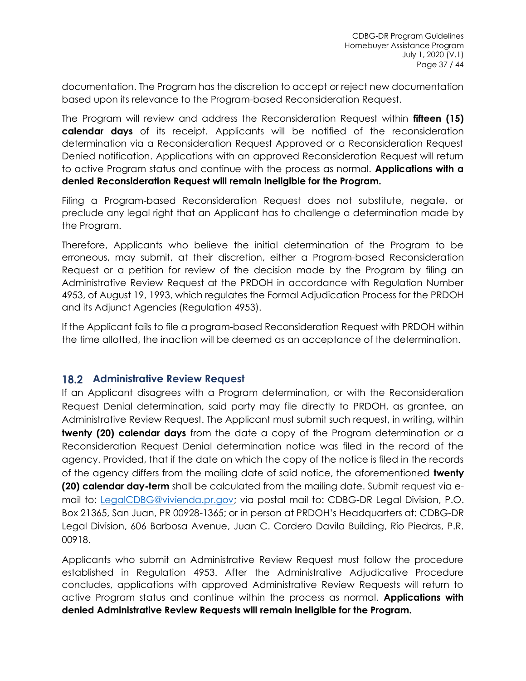documentation. The Program has the discretion to accept or reject new documentation based upon its relevance to the Program-based Reconsideration Request.

The Program will review and address the Reconsideration Request within **fifteen (15) calendar days** of its receipt. Applicants will be notified of the reconsideration determination via a Reconsideration Request Approved or a Reconsideration Request Denied notification. Applications with an approved Reconsideration Request will return to active Program status and continue with the process as normal. **Applications with a denied Reconsideration Request will remain ineligible for the Program.**

Filing a Program-based Reconsideration Request does not substitute, negate, or preclude any legal right that an Applicant has to challenge a determination made by the Program.

Therefore, Applicants who believe the initial determination of the Program to be erroneous, may submit, at their discretion, either a Program-based Reconsideration Request or a petition for review of the decision made by the Program by filing an Administrative Review Request at the PRDOH in accordance with Regulation Number 4953, of August 19, 1993, which regulates the Formal Adjudication Process for the PRDOH and its Adjunct Agencies (Regulation 4953).

If the Applicant fails to file a program-based Reconsideration Request with PRDOH within the time allotted, the inaction will be deemed as an acceptance of the determination.

## <span id="page-36-0"></span>**18.2 Administrative Review Request**

If an Applicant disagrees with a Program determination, or with the Reconsideration Request Denial determination, said party may file directly to PRDOH, as grantee, an Administrative Review Request. The Applicant must submit such request, in writing, within **twenty (20) calendar days** from the date a copy of the Program determination or a Reconsideration Request Denial determination notice was filed in the record of the agency. Provided, that if the date on which the copy of the notice is filed in the records of the agency differs from the mailing date of said notice, the aforementioned **twenty (20) calendar day-term** shall be calculated from the mailing date. Submit request via email to: [LegalCDBG@vivienda.pr.gov;](mailto:LegalCDBG@vivienda.pr.gov) via postal mail to: CDBG-DR Legal Division, P.O. Box 21365, San Juan, PR 00928-1365; or in person at PRDOH's Headquarters at: CDBG-DR Legal Division, 606 Barbosa Avenue, Juan C. Cordero Davila Building, Río Piedras, P.R. 00918.

Applicants who submit an Administrative Review Request must follow the procedure established in Regulation 4953. After the Administrative Adjudicative Procedure concludes, applications with approved Administrative Review Requests will return to active Program status and continue within the process as normal. **Applications with denied Administrative Review Requests will remain ineligible for the Program.**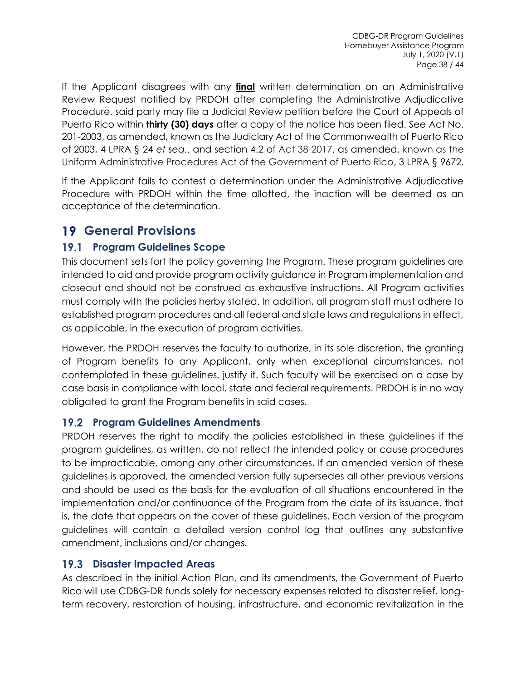If the Applicant disagrees with any **final** written determination on an Administrative Review Request notified by PRDOH after completing the Administrative Adjudicative Procedure, said party may file a Judicial Review petition before the Court of Appeals of Puerto Rico within **thirty (30) days** after a copy of the notice has been filed. See Act No. 201-2003, as amended, known as the Judiciary Act of the Commonwealth of Puerto Rico of 2003, 4 LPRA § 24 *et seq.*, and section 4.2 of Act 38-2017, as amended, known as the Uniform Administrative Procedures Act of the Government of Puerto Rico, 3 LPRA § 9672.

If the Applicant fails to contest a determination under the Administrative Adjudicative Procedure with PRDOH within the time allotted, the inaction will be deemed as an acceptance of the determination.

## <span id="page-37-0"></span>**General Provisions**

## <span id="page-37-1"></span>**Program Guidelines Scope**

This document sets fort the policy governing the Program. These program guidelines are intended to aid and provide program activity guidance in Program implementation and closeout and should not be construed as exhaustive instructions. All Program activities must comply with the policies herby stated. In addition, all program staff must adhere to established program procedures and all federal and state laws and regulations in effect, as applicable, in the execution of program activities.

However, the PRDOH reserves the faculty to authorize, in its sole discretion, the granting of Program benefits to any Applicant, only when exceptional circumstances, not contemplated in these guidelines, justify it. Such faculty will be exercised on a case by case basis in compliance with local, state and federal requirements. PRDOH is in no way obligated to grant the Program benefits in said cases.

## <span id="page-37-2"></span>**Program Guidelines Amendments**

PRDOH reserves the right to modify the policies established in these guidelines if the program guidelines, as written, do not reflect the intended policy or cause procedures to be impracticable, among any other circumstances. If an amended version of these guidelines is approved, the amended version fully supersedes all other previous versions and should be used as the basis for the evaluation of all situations encountered in the implementation and/or continuance of the Program from the date of its issuance, that is, the date that appears on the cover of these guidelines. Each version of the program guidelines will contain a detailed version control log that outlines any substantive amendment, inclusions and/or changes.

## <span id="page-37-3"></span>**Disaster Impacted Areas**

As described in the initial Action Plan, and its amendments, the Government of Puerto Rico will use CDBG-DR funds solely for necessary expenses related to disaster relief, longterm recovery, restoration of housing, infrastructure, and economic revitalization in the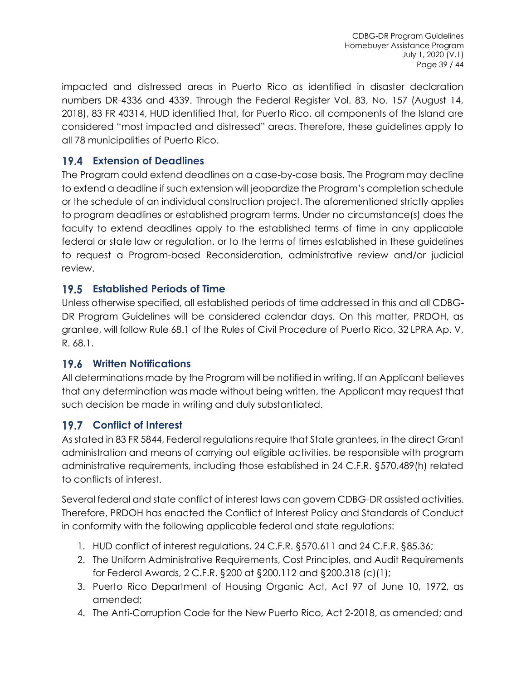CDBG-DR Program Guidelines Homebuyer Assistance Program July 1, 2020 (V.1) Page 39 / 44

impacted and distressed areas in Puerto Rico as identified in disaster declaration numbers DR-4336 and 4339. Through the Federal Register Vol. 83, No. 157 (August 14, 2018), 83 FR 40314, HUD identified that, for Puerto Rico, all components of the Island are considered "most impacted and distressed" areas. Therefore, these guidelines apply to all 78 municipalities of Puerto Rico.

## <span id="page-38-0"></span>**Extension of Deadlines**

The Program could extend deadlines on a case-by-case basis. The Program may decline to extend a deadline if such extension will jeopardize the Program's completion schedule or the schedule of an individual construction project. The aforementioned strictly applies to program deadlines or established program terms. Under no circumstance(s) does the faculty to extend deadlines apply to the established terms of time in any applicable federal or state law or regulation, or to the terms of times established in these guidelines to request a Program-based Reconsideration, administrative review and/or judicial review.

## <span id="page-38-1"></span>**Established Periods of Time**

Unless otherwise specified, all established periods of time addressed in this and all CDBG-DR Program Guidelines will be considered calendar days. On this matter, PRDOH, as grantee, will follow Rule 68.1 of the Rules of Civil Procedure of Puerto Rico, 32 LPRA Ap. V, R. 68.1.

## <span id="page-38-2"></span>**Written Notifications**

All determinations made by the Program will be notified in writing. If an Applicant believes that any determination was made without being written, the Applicant may request that such decision be made in writing and duly substantiated.

## <span id="page-38-3"></span>19.7 Conflict of Interest

As stated in 83 FR 5844, Federal regulations require that State grantees, in the direct Grant administration and means of carrying out eligible activities, be responsible with program administrative requirements, including those established in 24 C.F.R. §570.489(h) related to conflicts of interest.

Several federal and state conflict of interest laws can govern CDBG-DR assisted activities. Therefore, PRDOH has enacted the Conflict of Interest Policy and Standards of Conduct in conformity with the following applicable federal and state regulations:

- 1. HUD conflict of interest regulations, 24 C.F.R. §570.611 and 24 C.F.R. §85.36;
- 2. The Uniform Administrative Requirements, Cost Principles, and Audit Requirements for Federal Awards, 2 C.F.R. §200 at §200.112 and §200.318 (c)(1);
- 3. Puerto Rico Department of Housing Organic Act, Act 97 of June 10, 1972, as amended;
- 4. The Anti-Corruption Code for the New Puerto Rico, Act 2-2018, as amended; and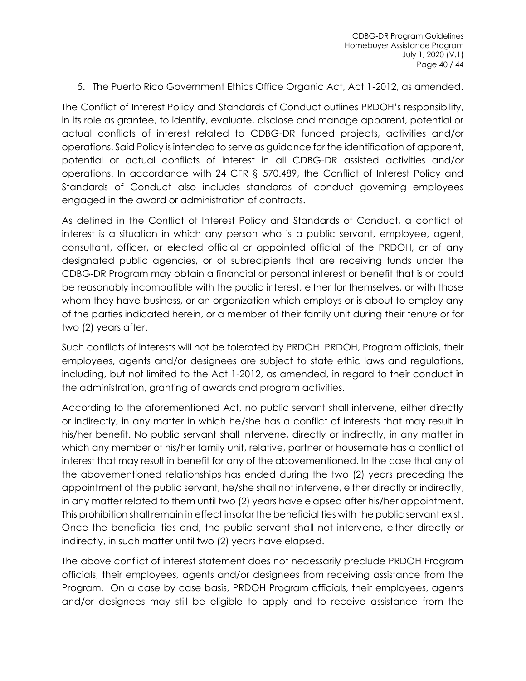5. The Puerto Rico Government Ethics Office Organic Act, Act 1-2012, as amended.

The Conflict of Interest Policy and Standards of Conduct outlines PRDOH's responsibility, in its role as grantee, to identify, evaluate, disclose and manage apparent, potential or actual conflicts of interest related to CDBG-DR funded projects, activities and/or operations. Said Policy is intended to serve as guidance for the identification of apparent, potential or actual conflicts of interest in all CDBG-DR assisted activities and/or operations. In accordance with 24 CFR § 570.489, the Conflict of Interest Policy and Standards of Conduct also includes standards of conduct governing employees engaged in the award or administration of contracts.

As defined in the Conflict of Interest Policy and Standards of Conduct, a conflict of interest is a situation in which any person who is a public servant, employee, agent, consultant, officer, or elected official or appointed official of the PRDOH, or of any designated public agencies, or of subrecipients that are receiving funds under the CDBG-DR Program may obtain a financial or personal interest or benefit that is or could be reasonably incompatible with the public interest, either for themselves, or with those whom they have business, or an organization which employs or is about to employ any of the parties indicated herein, or a member of their family unit during their tenure or for two (2) years after.

Such conflicts of interests will not be tolerated by PRDOH. PRDOH, Program officials, their employees, agents and/or designees are subject to state ethic laws and regulations, including, but not limited to the Act 1-2012, as amended, in regard to their conduct in the administration, granting of awards and program activities.

According to the aforementioned Act, no public servant shall intervene, either directly or indirectly, in any matter in which he/she has a conflict of interests that may result in his/her benefit. No public servant shall intervene, directly or indirectly, in any matter in which any member of his/her family unit, relative, partner or housemate has a conflict of interest that may result in benefit for any of the abovementioned. In the case that any of the abovementioned relationships has ended during the two (2) years preceding the appointment of the public servant, he/she shall not intervene, either directly or indirectly, in any matter related to them until two (2) years have elapsed after his/her appointment. This prohibition shall remain in effect insofar the beneficial ties with the public servant exist. Once the beneficial ties end, the public servant shall not intervene, either directly or indirectly, in such matter until two (2) years have elapsed.

The above conflict of interest statement does not necessarily preclude PRDOH Program officials, their employees, agents and/or designees from receiving assistance from the Program. On a case by case basis, PRDOH Program officials, their employees, agents and/or designees may still be eligible to apply and to receive assistance from the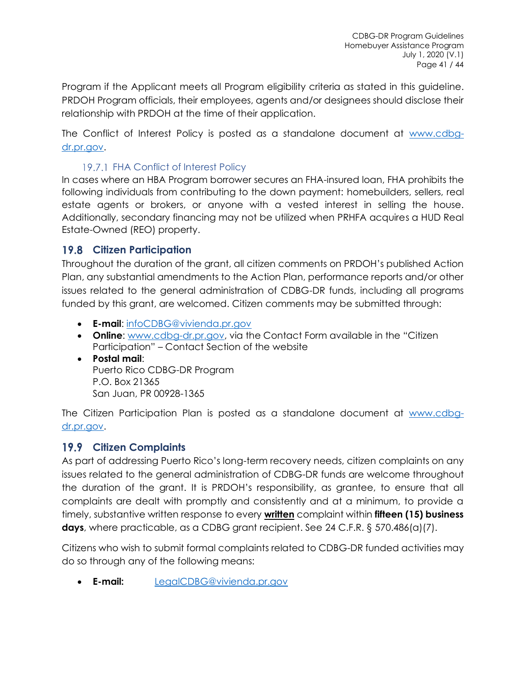Program if the Applicant meets all Program eligibility criteria as stated in this guideline. PRDOH Program officials, their employees, agents and/or designees should disclose their relationship with PRDOH at the time of their application.

The Conflict of Interest Policy is posted as a standalone document at [www.cdbg](http://www.cdbg-dr.pr.gov/)[dr.pr.gov.](http://www.cdbg-dr.pr.gov/)

## 19.7.1 FHA Conflict of Interest Policy

In cases where an HBA Program borrower secures an FHA-insured loan, FHA prohibits the following individuals from contributing to the down payment: homebuilders, sellers, real estate agents or brokers, or anyone with a vested interest in selling the house. Additionally, secondary financing may not be utilized when PRHFA acquires a HUD Real Estate-Owned (REO) property.

## <span id="page-40-0"></span>**Citizen Participation**

Throughout the duration of the grant, all citizen comments on PRDOH's published Action Plan, any substantial amendments to the Action Plan, performance reports and/or other issues related to the general administration of CDBG-DR funds, including all programs funded by this grant, are welcomed. Citizen comments may be submitted through:

- **E-mail**: [infoCDBG@vivienda.pr.gov](mailto:infoCDBG@vivienda.pr.gov)
- **Online**: [www.cdbg-dr.pr.gov](http://www.cdbg-dr.pr.gov/), via the Contact Form available in the "Citizen Participation" – Contact Section of the website
- **Postal mail**: Puerto Rico CDBG-DR Program P.O. Box 21365 San Juan, PR 00928-1365

The Citizen Participation Plan is posted as a standalone document at [www.cdbg](http://www.cdbg-dr.pr.gov/)[dr.pr.gov.](http://www.cdbg-dr.pr.gov/)

## <span id="page-40-1"></span>**Citizen Complaints**

As part of addressing Puerto Rico's long-term recovery needs, citizen complaints on any issues related to the general administration of CDBG-DR funds are welcome throughout the duration of the grant. It is PRDOH's responsibility, as grantee, to ensure that all complaints are dealt with promptly and consistently and at a minimum, to provide a timely, substantive written response to every **written** complaint within **fifteen (15) business days**, where practicable, as a CDBG grant recipient. See 24 C.F.R. § 570.486(a)(7).

Citizens who wish to submit formal complaints related to CDBG-DR funded activities may do so through any of the following means:

• **E-mail:** [LegalCDBG@vivienda.pr.gov](mailto:LegalCDBG@vivienda.pr.gov)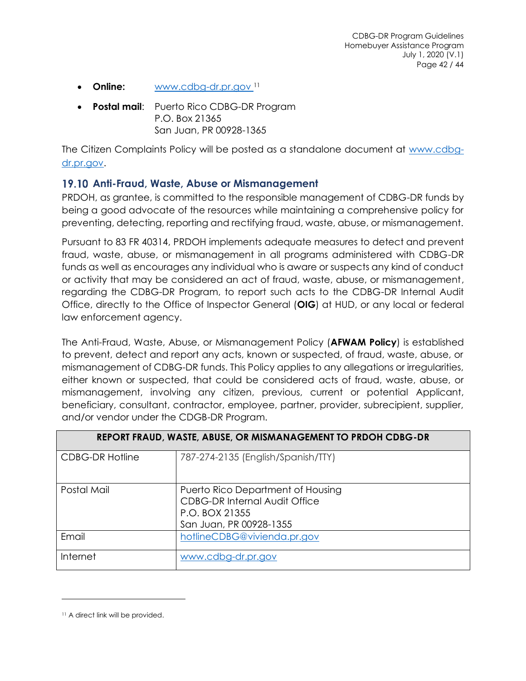- **Online:** www.cdbg-dr.pr.gov<sup>11</sup>
- **Postal mail**: Puerto Rico CDBG-DR Program P.O. Box 21365 San Juan, PR 00928-1365

The Citizen Complaints Policy will be posted as a standalone document at [www.cdbg](http://www.cdbg-dr.pr.gov/)[dr.pr.gov.](http://www.cdbg-dr.pr.gov/)

## <span id="page-41-0"></span>**Anti-Fraud, Waste, Abuse or Mismanagement**

PRDOH, as grantee, is committed to the responsible management of CDBG-DR funds by being a good advocate of the resources while maintaining a comprehensive policy for preventing, detecting, reporting and rectifying fraud, waste, abuse, or mismanagement.

Pursuant to 83 FR 40314, PRDOH implements adequate measures to detect and prevent fraud, waste, abuse, or mismanagement in all programs administered with CDBG-DR funds as well as encourages any individual who is aware or suspects any kind of conduct or activity that may be considered an act of fraud, waste, abuse, or mismanagement, regarding the CDBG-DR Program, to report such acts to the CDBG-DR Internal Audit Office, directly to the Office of Inspector General (**OIG**) at HUD, or any local or federal law enforcement agency.

The Anti-Fraud, Waste, Abuse, or Mismanagement Policy (**AFWAM Policy**) is established to prevent, detect and report any acts, known or suspected, of fraud, waste, abuse, or mismanagement of CDBG-DR funds. This Policy applies to any allegations or irregularities, either known or suspected, that could be considered acts of fraud, waste, abuse, or mismanagement, involving any citizen, previous, current or potential Applicant, beneficiary, consultant, contractor, employee, partner, provider, subrecipient, supplier, and/or vendor under the CDGB-DR Program.

| REPORT FRAUD, WASTE, ABUSE, OR MISMANAGEMENT TO PRDOH CDBG-DR |                                                                                                                        |  |
|---------------------------------------------------------------|------------------------------------------------------------------------------------------------------------------------|--|
| CDBG-DR Hotline                                               | 787-274-2135 (English/Spanish/TTY)                                                                                     |  |
| Postal Mail                                                   | Puerto Rico Department of Housing<br><b>CDBG-DR Internal Audit Office</b><br>P.O. BOX 21355<br>San Juan, PR 00928-1355 |  |
| Email                                                         | hotlineCDBG@vivienda.pr.gov                                                                                            |  |
| Internet                                                      | www.cdbg-dr.pr.gov                                                                                                     |  |

<sup>&</sup>lt;sup>11</sup> A direct link will be provided.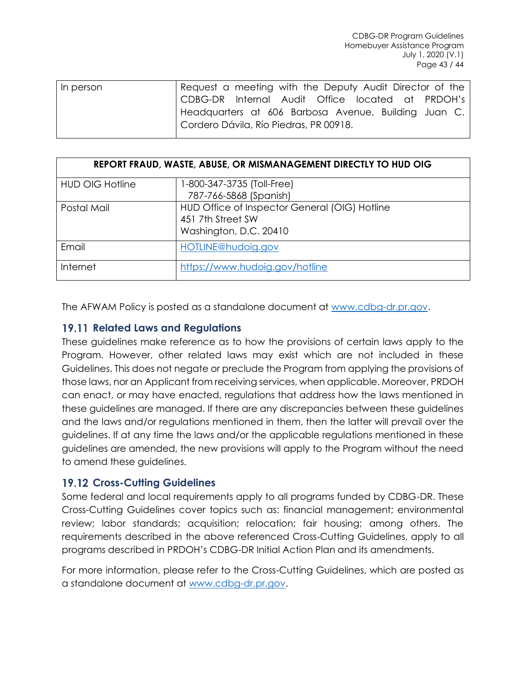| In person | Request a meeting with the Deputy Audit Director of the |
|-----------|---------------------------------------------------------|
|           | CDBG-DR Internal Audit Office located at PRDOH's        |
|           | Headquarters at 606 Barbosa Avenue, Building Juan C.    |
|           | Cordero Dávila, Río Piedras, PR 00918.                  |

| REPORT FRAUD, WASTE, ABUSE, OR MISMANAGEMENT DIRECTLY TO HUD OIG |                                                                                              |  |
|------------------------------------------------------------------|----------------------------------------------------------------------------------------------|--|
| HUD OIG Hotline                                                  | 1-800-347-3735 (Toll-Free)                                                                   |  |
|                                                                  | 787-766-5868 (Spanish)                                                                       |  |
| Postal Mail                                                      | HUD Office of Inspector General (OIG) Hotline<br>451 7th Street SW<br>Washington, D.C. 20410 |  |
| Email                                                            | HOTLINE@hudoig.gov                                                                           |  |
| Internet                                                         | https://www.hudoig.gov/hotline                                                               |  |

The AFWAM Policy is posted as a standalone document at [www.cdbg-dr.pr.gov.](http://www.cdbg-dr.pr.gov/)

#### <span id="page-42-0"></span>**19.11 Related Laws and Regulations**

These guidelines make reference as to how the provisions of certain laws apply to the Program. However, other related laws may exist which are not included in these Guidelines. This does not negate or preclude the Program from applying the provisions of those laws, nor an Applicant from receiving services, when applicable. Moreover, PRDOH can enact, or may have enacted, regulations that address how the laws mentioned in these guidelines are managed. If there are any discrepancies between these guidelines and the laws and/or regulations mentioned in them, then the latter will prevail over the guidelines. If at any time the laws and/or the applicable regulations mentioned in these guidelines are amended, the new provisions will apply to the Program without the need to amend these guidelines.

## <span id="page-42-1"></span>**19.12 Cross-Cutting Guidelines**

Some federal and local requirements apply to all programs funded by CDBG-DR. These Cross-Cutting Guidelines cover topics such as: financial management; environmental review; labor standards; acquisition; relocation; fair housing; among others. The requirements described in the above referenced Cross-Cutting Guidelines, apply to all programs described in PRDOH's CDBG-DR Initial Action Plan and its amendments.

For more information, please refer to the Cross-Cutting Guidelines, which are posted as a standalone document at [www.cdbg-dr.pr.gov.](http://www.cdbg-dr.pr.gov/)